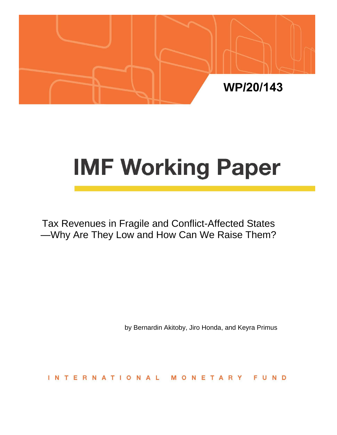

# **IMF Working Paper**

Tax Revenues in Fragile and Conflict-Affected States —Why Are They Low and How Can We Raise Them?

by Bernardin Akitoby, Jiro Honda, and Keyra Primus

**INTERNATIONAL** MONETARY FUND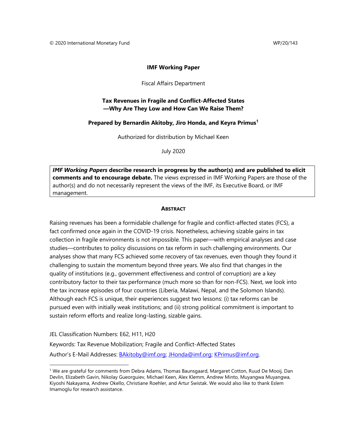#### **IMF Working Paper**

Fiscal Affairs Department

### **Tax Revenues in Fragile and Conflict-Affected States —Why Are They Low and How Can We Raise Them?**

#### **Prepared by Bernardin Akitoby, Jiro Honda, and Keyra Primus<sup>1</sup>**

Authorized for distribution by Michael Keen

July 2020

*IMF Working Papers* **describe research in progress by the author(s) and are published to elicit comments and to encourage debate.** The views expressed in IMF Working Papers are those of the author(s) and do not necessarily represent the views of the IMF, its Executive Board, or IMF management.

#### **ABSTRACT**

Raising revenues has been a formidable challenge for fragile and conflict-affected states (FCS), a fact confirmed once again in the COVID-19 crisis. Nonetheless, achieving sizable gains in tax collection in fragile environments is not impossible. This paper—with empirical analyses and case studies—contributes to policy discussions on tax reform in such challenging environments. Our analyses show that many FCS achieved some recovery of tax revenues, even though they found it challenging to sustain the momentum beyond three years. We also find that changes in the quality of institutions (e.g., government effectiveness and control of corruption) are a key contributory factor to their tax performance (much more so than for non-FCS). Next, we look into the tax increase episodes of four countries (Liberia, Malawi, Nepal, and the Solomon Islands). Although each FCS is unique, their experiences suggest two lessons: (i) tax reforms can be pursued even with initially weak institutions; and (ii) strong political commitment is important to sustain reform efforts and realize long-lasting, sizable gains.

JEL Classification Numbers: E62, H11, H20

Keywords: Tax Revenue Mobilization; Fragile and Conflict-Affected States Author's E-Mail Addresses: **BAkitoby@imf.org; [JHonda@imf.org;](mailto:JHonda@imf.org) [KPrimus@imf.org.](mailto:KPrimus@imf.org)** 

<sup>1</sup> We are grateful for comments from Debra Adams, Thomas Baunsgaard, Margaret Cotton, Ruud De Mooij, Dan Devlin, Elizabeth Gavin, Nikolay Gueorguiev, Michael Keen, Alex Klemm, Andrew Minto, Muyangwa Muyangwa, Kiyoshi Nakayama, Andrew Okello, Christiane Roehler, and Artur Swistak. We would also like to thank Eslem Imamoglu for research assistance.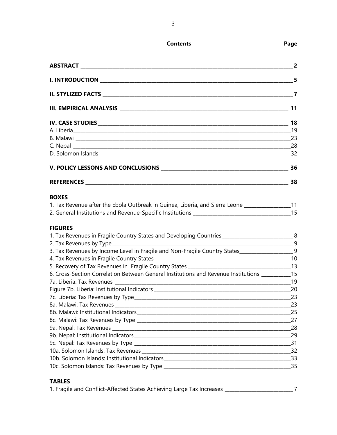| ABSTRACT ________________________                                                                 | $\overline{\mathbf{2}}$ |
|---------------------------------------------------------------------------------------------------|-------------------------|
|                                                                                                   |                         |
|                                                                                                   |                         |
|                                                                                                   |                         |
|                                                                                                   |                         |
|                                                                                                   |                         |
|                                                                                                   | 23                      |
|                                                                                                   |                         |
|                                                                                                   |                         |
|                                                                                                   | 36                      |
|                                                                                                   | 38                      |
| <b>BOXES</b>                                                                                      |                         |
| 1. Tax Revenue after the Ebola Outbreak in Guinea, Liberia, and Sierra Leone __________________11 |                         |
|                                                                                                   |                         |
| <b>FIGURES</b>                                                                                    |                         |
| 1. Tax Revenues in Fragile Country States and Developing Countries _____________________________8 |                         |
| $\frac{1}{1}$                                                                                     |                         |
| 3. Tax Revenues by Income Level in Fragile and Non-Fragile Country States____________________9    |                         |
|                                                                                                   |                         |
|                                                                                                   |                         |
| 6. Cross-Section Correlation Between General Institutions and Revenue Institutions ___________15  |                         |
|                                                                                                   |                         |
|                                                                                                   |                         |
| $\sim$ 23                                                                                         |                         |
|                                                                                                   | 23                      |
|                                                                                                   | 25                      |
|                                                                                                   | 27                      |
|                                                                                                   | 28                      |
|                                                                                                   | 29                      |
|                                                                                                   | 31                      |
|                                                                                                   | 32                      |
|                                                                                                   | 33                      |
|                                                                                                   |                         |
|                                                                                                   |                         |

# **TABLES**

|  | 1. Fragile and Conflict-Affected States Achieving Large Tax Increases |  |  |  |
|--|-----------------------------------------------------------------------|--|--|--|
|  |                                                                       |  |  |  |

3

**Contents Page**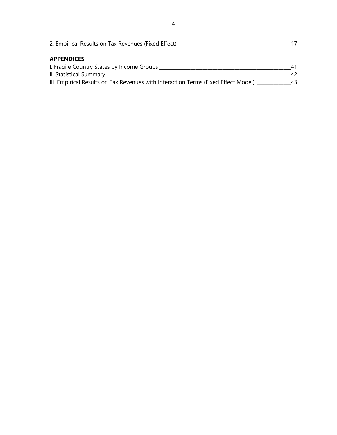| 2. Empirical Results on Tax Revenues (Fixed Effect)                                  |    |  |
|--------------------------------------------------------------------------------------|----|--|
| <b>APPENDICES</b>                                                                    |    |  |
| I. Fragile Country States by Income Groups                                           |    |  |
| II. Statistical Summary ____                                                         | 42 |  |
| III. Empirical Results on Tax Revenues with Interaction Terms (Fixed Effect Model) _ | 43 |  |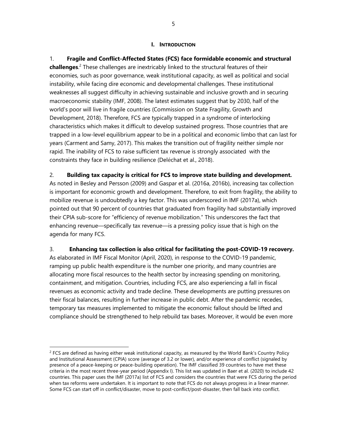#### **I. INTRODUCTION**

1. **Fragile and Conflict-Affected States (FCS) face formidable economic and structural challenges**. <sup>2</sup> These challenges are inextricably linked to the structural features of their economies, such as poor governance, weak institutional capacity, as well as political and social instability, while facing dire economic and developmental challenges. These institutional weaknesses all suggest difficulty in achieving sustainable and inclusive growth and in securing macroeconomic stability (IMF, 2008). The latest estimates suggest that by 2030, half of the world's poor will live in fragile countries (Commission on State Fragility, Growth and Development, 2018). Therefore, FCS are typically trapped in a syndrome of interlocking characteristics which makes it difficult to develop sustained progress. Those countries that are trapped in a low-level equilibrium appear to be in a political and economic limbo that can last for years (Carment and Samy, 2017). This makes the transition out of fragility neither simple nor rapid. The inability of FCS to raise sufficient tax revenue is strongly associated with the constraints they face in building resilience (Deléchat et al., 2018).

## 2. **Building tax capacity is critical for FCS to improve state building and development.**

As noted in Besley and Persson (2009) and Gaspar et al. (2016a, 2016b), increasing tax collection is important for economic growth and development. Therefore, to exit from fragility, the ability to mobilize revenue is undoubtedly a key factor. This was underscored in IMF (2017a), which pointed out that 90 percent of countries that graduated from fragility had substantially improved their CPIA sub-score for "efficiency of revenue mobilization." This underscores the fact that enhancing revenue—specifically tax revenue—is a pressing policy issue that is high on the agenda for many FCS.

## 3. **Enhancing tax collection is also critical for facilitating the post-COVID-19 recovery.**

As elaborated in IMF Fiscal Monitor (April, 2020), in response to the COVID-19 pandemic, ramping up public health expenditure is the number one priority, and many countries are allocating more fiscal resources to the health sector by increasing spending on monitoring, containment, and mitigation. Countries, including FCS, are also experiencing a fall in fiscal revenues as economic activity and trade decline. These developments are putting pressures on their fiscal balances, resulting in further increase in public debt. After the pandemic recedes, temporary tax measures implemented to mitigate the economic fallout should be lifted and compliance should be strengthened to help rebuild tax bases. Moreover, it would be even more

 $2$  FCS are defined as having either weak institutional capacity, as measured by the World Bank's Country Policy and Institutional Assessment (CPIA) score (average of 3.2 or lower), and/or experience of conflict (signaled by presence of a peace-keeping or peace-building operation). The IMF classified 39 countries to have met these criteria in the most recent three-year period (Appendix I). This list was updated in Baer et al. (2020) to include 42 countries. This paper uses the IMF (2017a) list of FCS and considers the countries that were FCS during the period when tax reforms were undertaken. It is important to note that FCS do not always progress in a linear manner. Some FCS can start off in conflict/disaster, move to post-conflict/post-disaster, then fall back into conflict.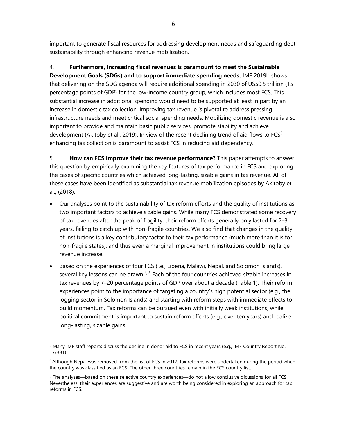important to generate fiscal resources for addressing development needs and safeguarding debt sustainability through enhancing revenue mobilization.

4. **Furthermore, increasing fiscal revenues is paramount to meet the Sustainable Development Goals (SDGs) and to support immediate spending needs.** IMF 2019b shows that delivering on the SDG agenda will require additional spending in 2030 of US\$0.5 trillion (15 percentage points of GDP) for the low-income country group, which includes most FCS. This substantial increase in additional spending would need to be supported at least in part by an increase in domestic tax collection. Improving tax revenue is pivotal to address pressing infrastructure needs and meet critical social spending needs. Mobilizing domestic revenue is also important to provide and maintain basic public services, promote stability and achieve development (Akitoby et al., 2019). In view of the recent declining trend of aid flows to FCS<sup>3</sup>, enhancing tax collection is paramount to assist FCS in reducing aid dependency.

5. **How can FCS improve their tax revenue performance?** This paper attempts to answer this question by empirically examining the key features of tax performance in FCS and exploring the cases of specific countries which achieved long-lasting, sizable gains in tax revenue. All of these cases have been identified as substantial tax revenue mobilization episodes by Akitoby et al., (2018).

- Our analyses point to the sustainability of tax reform efforts and the quality of institutions as two important factors to achieve sizable gains. While many FCS demonstrated some recovery of tax revenues after the peak of fragility, their reform efforts generally only lasted for 2–3 years, failing to catch up with non-fragile countries. We also find that changes in the quality of institutions is a key contributory factor to their tax performance (much more than it is for non-fragile states), and thus even a marginal improvement in institutions could bring large revenue increase.
- Based on the experiences of four FCS (i.e., Liberia, Malawi, Nepal, and Solomon Islands), several key lessons can be drawn.<sup>4, 5</sup> Each of the four countries achieved sizable increases in tax revenues by 7–20 percentage points of GDP over about a decade (Table 1). Their reform experiences point to the importance of targeting a country's high potential sector (e.g., the logging sector in Solomon Islands) and starting with reform steps with immediate effects to build momentum. Tax reforms can be pursued even with initially weak institutions, while political commitment is important to sustain reform efforts (e.g., over ten years) and realize long-lasting, sizable gains.

<sup>&</sup>lt;sup>3</sup> Many IMF staff reports discuss the decline in donor aid to FCS in recent years (e.g., IMF Country Report No. 17/381).

<sup>4</sup> Although Nepal was removed from the list of FCS in 2017, tax reforms were undertaken during the period when the country was classified as an FCS. The other three countries remain in the FCS country list.

<sup>&</sup>lt;sup>5</sup> The analyses—based on these selective country experiences—do not allow conclusive dicussions for all FCS. Nevertheless, their experiences are suggestive and are worth being considered in exploring an approach for tax reforms in FCS.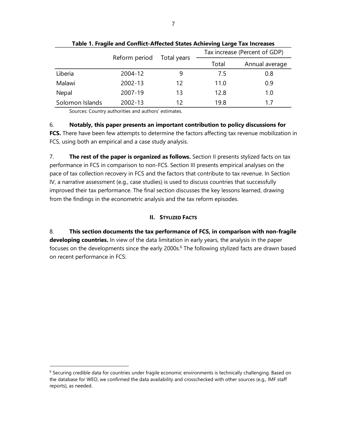|                 |               |             | Tax increase (Percent of GDP) |                |  |  |
|-----------------|---------------|-------------|-------------------------------|----------------|--|--|
|                 | Reform period | Total years | Total                         | Annual average |  |  |
| Liberia         | 2004-12       | 9           | 7.5                           | 0.8            |  |  |
| Malawi          | 2002-13       | 12          | 11.0                          | 0.9            |  |  |
| Nepal           | 2007-19       | 13          | 12.8                          | 1.0            |  |  |
| Solomon Islands | 2002-13       | 12          | 19.8                          | 17             |  |  |

**Table 1. Fragile and Conflict-Affected States Achieving Large Tax Increases**

Sources: Country authorities and authors' estimates.

6. **Notably, this paper presents an important contribution to policy discussions for FCS.** There have been few attempts to determine the factors affecting tax revenue mobilization in FCS, using both an empirical and a case study analysis.

7. **The rest of the paper is organized as follows.** Section II presents stylized facts on tax performance in FCS in comparison to non-FCS. Section III presents empirical analyses on the pace of tax collection recovery in FCS and the factors that contribute to tax revenue. In Section IV, a narrative assessment (e.g., case studies) is used to discuss countries that successfully improved their tax performance. The final section discusses the key lessons learned, drawing from the findings in the econometric analysis and the tax reform episodes.

# **II. STYLIZED FACTS**

8. **This section documents the tax performance of FCS, in comparison with non-fragile developing countries.** In view of the data limitation in early years, the analysis in the paper focuses on the developments since the early 2000s.<sup>6</sup> The following stylized facts are drawn based on recent performance in FCS:

 $6$  Securing credible data for countries under fragile economic environments is technically challenging. Based on the database for WEO, we confirmed the data availability and crosschecked with other sources (e.g., IMF staff reports), as needed.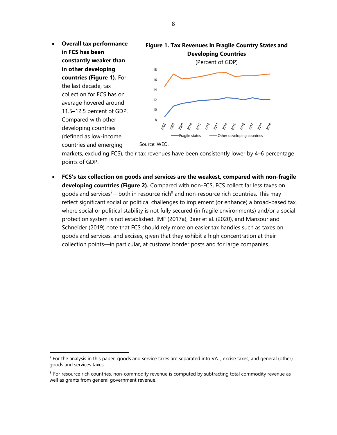• **Overall tax performance in FCS has been constantly weaker than in other developing countries (Figure 1).** For the last decade, tax collection for FCS has on average hovered around 11.5–12.5 percent of GDP. Compared with other developing countries (defined as low-income **Figure 1. Tax Revenues in Fragile Country States and Developing Countries** (Percent of GDP) 8 10 12 14 16 18 Fragile states **- Other developing countries** 

Source: WEO.

countries and emerging

markets, excluding FCS), their tax revenues have been consistently lower by 4–6 percentage points of GDP.

• **FCS's tax collection on goods and services are the weakest, compared with non-fragile developing countries (Figure 2).** Compared with non-FCS, FCS collect far less taxes on goods and services<sup>7</sup>—both in resource rich<sup>8</sup> and non-resource rich countries. This may reflect significant social or political challenges to implement (or enhance) a broad-based tax, where social or political stability is not fully secured (in fragile environments) and/or a social protection system is not established. IMF (2017a), Baer et al. (2020), and Mansour and Schneider (2019) note that FCS should rely more on easier tax handles such as taxes on goods and services, and excises, given that they exhibit a high concentration at their collection points—in particular, at customs border posts and for large companies.

 $<sup>7</sup>$  For the analysis in this paper, goods and service taxes are separated into VAT, excise taxes, and general (other)</sup> goods and services taxes.

 $8$  For resource rich countries, non-commodity revenue is computed by subtracting total commodity revenue as well as grants from general government revenue.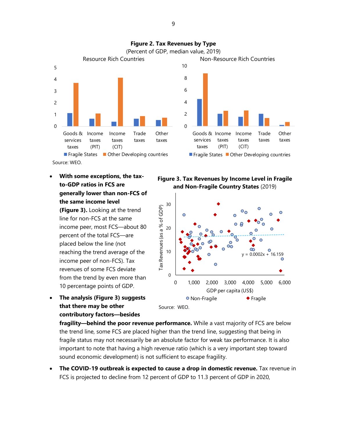

• **With some exceptions, the taxto-GDP ratios in FCS are generally lower than non-FCS of the same income level**

**(Figure 3).** Looking at the trend line for non-FCS at the same income peer, most FCS―about 80 percent of the total FCS―are placed below the line (not reaching the trend average of the income peer of non-FCS). Tax revenues of some FCS deviate from the trend by even more than 10 percentage points of GDP.

• **The analysis (Figure 3) suggests that there may be other contributory factors—besides** 

**Figure 3. Tax Revenues by Income Level in Fragile and Non-Fragile Country States** (2019)



**fragility—behind the poor revenue performance.** While a vast majority of FCS are below the trend line, some FCS are placed higher than the trend line, suggesting that being in fragile status may not necessarily be an absolute factor for weak tax performance. It is also important to note that having a high revenue ratio (which is a very important step toward sound economic development) is not sufficient to escape fragility.

• **The COVID-19 outbreak is expected to cause a drop in domestic revenue.** Tax revenue in FCS is projected to decline from 12 percent of GDP to 11.3 percent of GDP in 2020,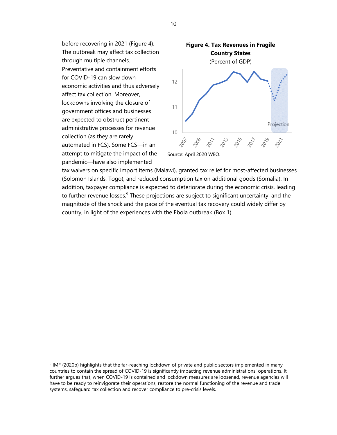before recovering in 2021 (Figure 4). The outbreak may affect tax collection through multiple channels. Preventative and containment efforts for COVID-19 can slow down economic activities and thus adversely affect tax collection. Moreover, lockdowns involving the closure of government offices and businesses are expected to obstruct pertinent administrative processes for revenue collection (as they are rarely automated in FCS). Some FCS—in an attempt to mitigate the impact of the pandemic—have also implemented



tax waivers on specific import items (Malawi), granted tax relief for most-affected businesses (Solomon Islands, Togo), and reduced consumption tax on additional goods (Somalia). In addition, taxpayer compliance is expected to deteriorate during the economic crisis, leading to further revenue losses.<sup>9</sup> These projections are subject to significant uncertainty, and the magnitude of the shock and the pace of the eventual tax recovery could widely differ by country, in light of the experiences with the Ebola outbreak (Box 1).

10

<sup>&</sup>lt;sup>9</sup> IMF (2020b) highlights that the far-reaching lockdown of private and public sectors implemented in many countries to contain the spread of COVID-19 is significantly impacting revenue administrations' operations. It further argues that, when COVID-19 is contained and lockdown measures are loosened, revenue agencies will have to be ready to reinvigorate their operations, restore the normal functioning of the revenue and trade systems, safeguard tax collection and recover compliance to pre-crisis levels.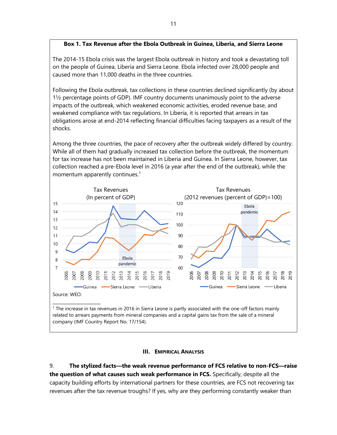## **Box 1. Tax Revenue after the Ebola Outbreak in Guinea, Liberia, and Sierra Leone**

The 2014-15 Ebola crisis was the largest Ebola outbreak in history and took a devastating toll on the people of Guinea, Liberia and Sierra Leone. Ebola infected over 28,000 people and caused more than 11,000 deaths in the three countries.

Following the Ebola outbreak, tax collections in these countries declined significantly (by about 1½ percentage points of GDP). IMF country documents unanimously point to the adverse impacts of the outbreak, which weakened economic activities, eroded revenue base, and weakened compliance with tax regulations. In Liberia, it is reported that arrears in tax obligations arose at end-2014 reflecting financial difficulties facing taxpayers as a result of the shocks.

Among the three countries, the pace of recovery after the outbreak widely differed by country. While all of them had gradually increased tax collection before the outbreak, the momentum for tax increase has not been maintained in Liberia and Guinea. In Sierra Leone, however, tax collection reached a pre-Ebola level in 2016 (a year after the end of the outbreak), while the momentum apparently continues.<sup>1</sup>



related to arrears payments from mineral companies and a capital gains tax from the sale of a mineral company (IMF Country Report No. 17/154).

#### **III.** EMPIRICAL ANALYSIS

9. **The stylized facts—the weak revenue performance of FCS relative to non-FCS—raise the question of what causes such weak performance in FCS.** Specifically, despite all the capacity building efforts by international partners for these countries, are FCS not recovering tax revenues after the tax revenue troughs? If yes, why are they performing constantly weaker than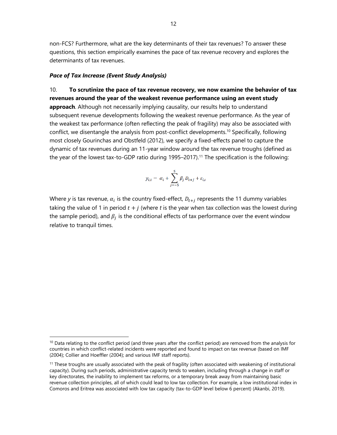non-FCS? Furthermore, what are the key determinants of their tax revenues? To answer these questions, this section empirically examines the pace of tax revenue recovery and explores the determinants of tax revenues.

#### *Pace of Tax Increase (Event Study Analysis)*

10. **To scrutinize the pace of tax revenue recovery, we now examine the behavior of tax revenues around the year of the weakest revenue performance using an event study approach**. Although not necessarily implying causality, our results help to understand subsequent revenue developments following the weakest revenue performance. As the year of the weakest tax performance (often reflecting the peak of fragility) may also be associated with conflict, we disentangle the analysis from post-conflict developments.<sup>10</sup> Specifically, following most closely Gourinchas and Obstfeld (2012), we specify a fixed-effects panel to capture the dynamic of tax revenues during an 11-year window around the tax revenue troughs (defined as the year of the lowest tax-to-GDP ratio during 1995–2017).<sup>11</sup> The specification is the following:

$$
y_{i,t} = \alpha_i + \sum_{j=-5}^{5} \beta_j D_{t+j} + \varepsilon_{i,t}
$$

Where y is tax revenue,  $\alpha_i$  is the country fixed-effect,  $D_{t+j}$  represents the 11 dummy variables taking the value of 1 in period  $t + j$  (where t is the year when tax collection was the lowest during the sample period), and  $\beta_j$  is the conditional effects of tax performance over the event window relative to tranquil times.

<sup>&</sup>lt;sup>10</sup> Data relating to the conflict period (and three years after the conflict period) are removed from the analysis for countries in which conflict-related incidents were reported and found to impact on tax revenue (based on IMF (2004); Collier and Hoeffler (2004); and various IMF staff reports).

 $11$  These troughs are usually associated with the peak of fragility (often associated with weakening of institutional capacity). During such periods, administrative capacity tends to weaken, including through a change in staff or key directorates, the inability to implement tax reforms, or a temporary break away from maintaining basic revenue collection principles, all of which could lead to low tax collection. For example, a low institutional index in Comoros and Eritrea was associated with low tax capacity (tax-to-GDP level below 6 percent) (Akanbi, 2019).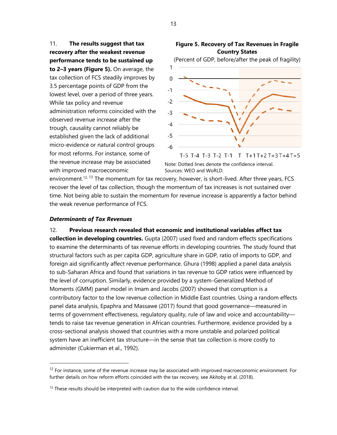11. **The results suggest that tax recovery after the weakest revenue performance tends to be sustained up to 2–3 years (Figure 5).** On average, the tax collection of FCS steadily improves by 3.5 percentage points of GDP from the lowest level, over a period of three years. While tax policy and revenue administration reforms coincided with the observed revenue increase after the trough, causality cannot reliably be established given the lack of additional micro-evidence or natural control groups for most reforms. For instance, some of the revenue increase may be associated with improved macroeconomic





Note: Dotted lines denote the confidence interval. Sources: WEO and WoRLD.

environment.<sup>12, 13</sup> The momentum for tax recovery, however, is short-lived. After three years, FCS recover the level of tax collection, though the momentum of tax increases is not sustained over time. Not being able to sustain the momentum for revenue increase is apparently a factor behind the weak revenue performance of FCS.

#### *Determinants of Tax Revenues*

12. **Previous research revealed that economic and institutional variables affect tax** 

**collection in developing countries.** Gupta (2007) used fixed and random effects specifications to examine the determinants of tax revenue efforts in developing countries. The study found that structural factors such as per capita GDP, agriculture share in GDP, ratio of imports to GDP, and foreign aid significantly affect revenue performance. Ghura (1998) applied a panel data analysis to sub-Saharan Africa and found that variations in tax revenue to GDP ratios were influenced by the level of corruption. Similarly, evidence provided by a system-Generalized Method of Moments (GMM) panel model in Imam and Jacobs (2007) showed that corruption is a contributory factor to the low revenue collection in Middle East countries. Using a random effects panel data analysis, Epaphra and Massawe (2017) found that good governance—measured in terms of government effectiveness, regulatory quality, rule of law and voice and accountability tends to raise tax revenue generation in African countries. Furthermore, evidence provided by a cross-sectional analysis showed that countries with a more unstable and polarized political system have an inefficient tax structure—in the sense that tax collection is more costly to administer (Cukierman et al., 1992).

 $12$  For instance, some of the revenue increase may be associated with improved macroeconomic environment. For further details on how reform efforts coincided with the tax recovery, see Akitoby et al. (2018).

 $13$  These results should be interpreted with caution due to the wide confidence interval.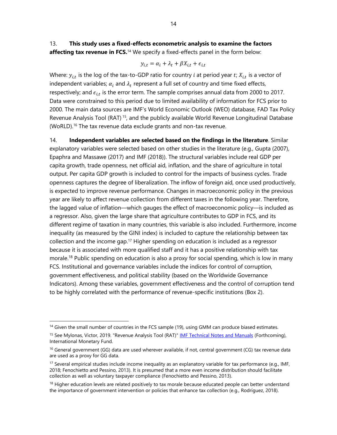$$
y_{i,t} = \alpha_i + \lambda_t + \beta X_{i,t} + \epsilon_{i,t}
$$

Where:  $y_{i,t}$  is the log of the tax-to-GDP ratio for country  $i$  at period year  $t$ ;  $X_{i,t}$  is a vector of independent variables;  $\alpha_i$  and  $\lambda_t$  represent a full set of country and time fixed effects, respectively; and  $\epsilon_{i,t}$  is the error term. The sample comprises annual data from 2000 to 2017. Data were constrained to this period due to limited availability of information for FCS prior to 2000. The main data sources are IMF's World Economic Outlook (WEO) database, FAD Tax Policy Revenue Analysis Tool (RAT) <sup>15</sup>, and the publicly available World Revenue Longitudinal Database (WoRLD). <sup>16</sup> The tax revenue data exclude grants and non-tax revenue.

14. **Independent variables are selected based on the findings in the literature**. Similar explanatory variables were selected based on other studies in the literature (e.g., Gupta (2007), Epaphra and Massawe (2017) and IMF (2018)). The structural variables include real GDP per capita growth, trade openness, net official aid, inflation, and the share of agriculture in total output. Per capita GDP growth is included to control for the impacts of business cycles. Trade openness captures the degree of liberalization. The inflow of foreign aid, once used productively, is expected to improve revenue performance. Changes in macroeconomic policy in the previous year are likely to affect revenue collection from different taxes in the following year. Therefore, the lagged value of inflation—which gauges the effect of macroeconomic policy—is included as a regressor. Also, given the large share that agriculture contributes to GDP in FCS, and its different regime of taxation in many countries, this variable is also included. Furthermore, income inequality (as measured by the GINI index) is included to capture the relationship between tax collection and the income gap.<sup>17</sup> Higher spending on education is included as a regressor because it is associated with more qualified staff and it has a positive relationship with tax morale.<sup>18</sup> Public spending on education is also a proxy for social spending, which is low in many FCS. Institutional and governance variables include the indices for control of corruption, government effectiveness, and political stability (based on the Worldwide Governance Indicators). Among these variables, government effectiveness and the control of corruption tend to be highly correlated with the performance of revenue-specific institutions (Box 2).

<sup>&</sup>lt;sup>14</sup> Given the small number of countries in the FCS sample (19), using GMM can produce biased estimates.

<sup>&</sup>lt;sup>15</sup> See Mylonas, Victor, 2019. "Revenue Analysis Tool (RAT)" **[IMF Technical Notes and Manuals](https://ideas.repec.org/s/imf/imftnm.html)** (Forthcoming), International Monetary Fund.

<sup>&</sup>lt;sup>16</sup> General government (GG) data are used wherever available, if not, central government (CG) tax revenue data are used as a proxy for GG data.

<sup>&</sup>lt;sup>17</sup> Several empirical studies include income inequality as an explanatory variable for tax performance (e.g., IMF, 2018; Fenochietto and Pessino, 2013). It is presumed that a more even income distribution should facilitate collection as well as voluntary taxpayer compliance (Fenochietto and Pessino, 2013).

<sup>&</sup>lt;sup>18</sup> Higher education levels are related positively to tax morale because educated people can better understand the importance of government intervention or policies that enhance tax collection (e.g., Rodríguez, 2018).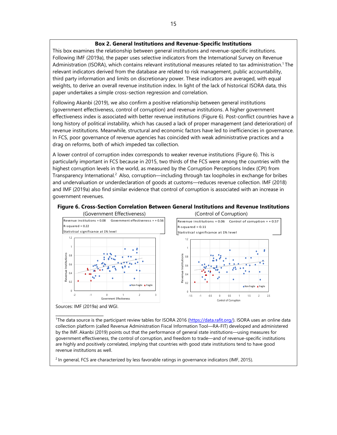#### **Box 2. General Institutions and Revenue-Specific Institutions**

This box examines the relationship between general institutions and revenue-specific institutions. Following IMF (2019a), the paper uses selective indicators from the International Survey on Revenue Administration (ISORA), which contains relevant institutional measures related to tax administration.<sup>1</sup> The relevant indicators derived from the database are related to risk management, public accountability, third party information and limits on discretionary power. These indicators are averaged, with equal weights, to derive an overall revenue institution index. In light of the lack of historical ISORA data, this paper undertakes a simple cross-section regression and correlation.

Following Akanbi (2019), we also confirm a positive relationship between general institutions (government effectiveness, control of corruption) and revenue institutions. A higher government effectiveness index is associated with better revenue institutions (Figure 6). Post-conflict countries have a long history of political instability, which has caused a lack of proper management (and deterioration) of revenue institutions. Meanwhile, structural and economic factors have led to inefficiencies in governance. In FCS, poor governance of revenue agencies has coincided with weak administrative practices and a drag on reforms, both of which impeded tax collection.

A lower control of corruption index corresponds to weaker revenue institutions (Figure 6). This is particularly important in FCS because in 2015, two thirds of the FCS were among the countries with the highest corruption levels in the world, as measured by the Corruption Perceptions Index (CPI) from Transparency International. <sup>2</sup> Also, corruption—including through tax loopholes in exchange for bribes and undervaluation or underdeclaration of goods at customs—reduces revenue collection. IMF (2018) and IMF (2019a) also find similar evidence that control of corruption is associated with an increase in government revenues.



#### **Figure 6. Cross-Section Correlation Between General Institutions and Revenue Institutions**

Sources: IMF (2019a) and WGI.

 $\mathcal{L}=\mathcal{L}=\mathcal{L}=\mathcal{L}=\mathcal{L}=\mathcal{L}=\mathcal{L}=\mathcal{L}=\mathcal{L}=\mathcal{L}=\mathcal{L}=\mathcal{L}=\mathcal{L}=\mathcal{L}=\mathcal{L}=\mathcal{L}=\mathcal{L}=\mathcal{L}=\mathcal{L}=\mathcal{L}=\mathcal{L}=\mathcal{L}=\mathcal{L}=\mathcal{L}=\mathcal{L}=\mathcal{L}=\mathcal{L}=\mathcal{L}=\mathcal{L}=\mathcal{L}=\mathcal{L}=\mathcal{L}=\mathcal{L}=\mathcal{L}=\mathcal{L}=\mathcal{L}=\mathcal{$ 

<sup>1</sup>The data source is the participant review tables for ISORA 2016 [\(https://data.rafit.org/\).](https://data.rafit.org/) ISORA uses an online data collection platform (called Revenue Administration Fiscal Information Tool—RA-FIT) developed and administered by the IMF. Akanbi (2019) points out that the performance of general state institutions—using measures for government effectiveness, the control of corruption, and freedom to trade—and of revenue-specific institutions are highly and positively correlated, implying that countries with good state institutions tend to have good revenue institutions as well.

 $2$  In general, FCS are characterized by less favorable ratings in governance indicators (IMF, 2015).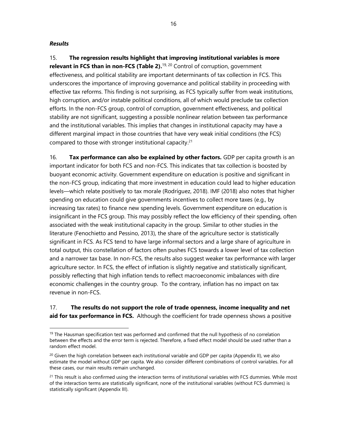#### *Results*

15. **The regression results highlight that improving institutional variables is more relevant in FCS than in non-FCS (Table 2).** 19, <sup>20</sup> Control of corruption, government effectiveness, and political stability are important determinants of tax collection in FCS. This underscores the importance of improving governance and political stability in proceeding with effective tax reforms. This finding is not surprising, as FCS typically suffer from weak institutions, high corruption, and/or instable political conditions, all of which would preclude tax collection efforts. In the non-FCS group, control of corruption, government effectiveness, and political stability are not significant, suggesting a possible nonlinear relation between tax performance and the institutional variables. This implies that changes in institutional capacity may have a different marginal impact in those countries that have very weak initial conditions (the FCS) compared to those with stronger institutional capacity. 21

16. **Tax performance can also be explained by other factors.** GDP per capita growth is an important indicator for both FCS and non-FCS. This indicates that tax collection is boosted by buoyant economic activity. Government expenditure on education is positive and significant in the non-FCS group, indicating that more investment in education could lead to higher education levels—which relate positively to tax morale (Rodríguez, 2018). IMF (2018) also notes that higher spending on education could give governments incentives to collect more taxes (e.g., by increasing tax rates) to finance new spending levels. Government expenditure on education is insignificant in the FCS group. This may possibly reflect the low efficiency of their spending, often associated with the weak institutional capacity in the group. Similar to other studies in the literature (Fenochietto and Pessino, 2013), the share of the agriculture sector is statistically significant in FCS. As FCS tend to have large informal sectors and a large share of agriculture in total output, this constellation of factors often pushes FCS towards a lower level of tax collection and a narrower tax base. In non-FCS, the results also suggest weaker tax performance with larger agriculture sector. In FCS, the effect of inflation is slightly negative and statistically significant, possibly reflecting that high inflation tends to reflect macroeconomic imbalances with dire economic challenges in the country group. To the contrary, inflation has no impact on tax revenue in non-FCS.

17. **The results do not support the role of trade openness, income inequality and net aid for tax performance in FCS.** Although the coefficient for trade openness shows a positive

 $19$  The Hausman specification test was performed and confirmed that the null hypothesis of no correlation between the effects and the error term is rejected. Therefore, a fixed effect model should be used rather than a random effect model.

 $20$  Given the high correlation between each institutional variable and GDP per capita (Appendix II), we also estimate the model without GDP per capita. We also consider different combinations of control variables. For all these cases, our main results remain unchanged.

 $21$  This result is also confirmed using the interaction terms of institutional variables with FCS dummies. While most of the interaction terms are statistically significant, none of the institutional variables (without FCS dummies) is statistically significant (Appendix III).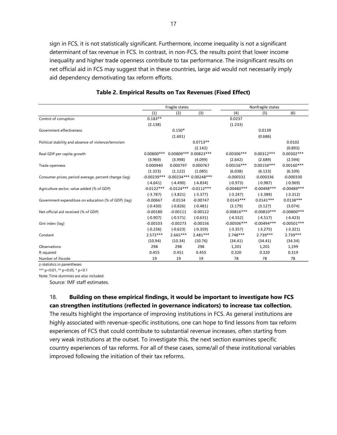sign in FCS, it is not statistically significant. Furthermore, income inequality is not a significant determinant of tax revenue in FCS. In contrast, in non-FCS, the results point that lower income inequality and higher trade openness contribute to tax performance. The insignificant results on net official aid in FCS may suggest that in these countries, large aid would not necessarily imply aid dependency demotivating tax reform efforts.

|                                                       | Fragile states |                         |                         |               | Nonfragile states |                |  |  |
|-------------------------------------------------------|----------------|-------------------------|-------------------------|---------------|-------------------|----------------|--|--|
|                                                       | (1)            | (2)                     | (3)                     | (4)           | (5)               | (6)            |  |  |
| Control of corruption                                 | $0.183**$      |                         |                         | 0.0237        |                   |                |  |  |
|                                                       | (2.138)        |                         |                         | (1.233)       |                   |                |  |  |
| Government effectiveness                              |                | $0.150*$                |                         |               | 0.0139            |                |  |  |
|                                                       |                | (1.691)                 |                         |               | (0.686)           |                |  |  |
| Political stability and absence of violence/terrorism |                |                         | $0.0713**$              |               |                   | 0.0102         |  |  |
|                                                       |                |                         | (2.142)                 |               |                   | (0.893)        |  |  |
| Real GDP per capita growth                            | $0.00800***$   |                         | 0.00809 *** 0.00823 *** | $0.00306***$  | $0.00312***$      | $0.00302***$   |  |  |
|                                                       | (3.969)        | (3.998)                 | (4.099)                 | (2.642)       | (2.689)           | (2.594)        |  |  |
| Trade openness                                        | 0.000940       | 0.000797                | 0.000767                | $0.00156***$  | $0.00159***$      | $0.00160***$   |  |  |
|                                                       | (1.323)        | (1.122)                 | (1.085)                 | (6.038)       | (6.123)           | (6.109)        |  |  |
| Consumer prices, period average, percent change (lag) | $-0.00239***$  | $-0.00234***0.00248***$ |                         | $-0.000331$   | $-0.000336$       | $-0.000330$    |  |  |
|                                                       | $(-4.641)$     | $(-4.490)$              | $(-4.834)$              | $(-0.973)$    | $(-0.987)$        | $(-0.969)$     |  |  |
| Agriculture sector, value added (% of GDP)            | $-0.0122***$   | $-0.0124***$            | $-0.0112***$            | $-0.00480***$ | $-0.00498***$     | $-0.00489***$  |  |  |
|                                                       | $(-3.787)$     | $(-3.821)$              | $(-3.377)$              | $(-3.247)$    | $(-3.389)$        | $(-3.312)$     |  |  |
| Government expenditure on education (% of GDP) (lag)  | $-0.00667$     | $-0.0134$               | $-0.00747$              | $0.0143***$   | $0.0141***$       | $0.0138***$    |  |  |
|                                                       | $(-0.430)$     | $(-0.826)$              | $(-0.481)$              | (3.179)       | (3.127)           | (3.074)        |  |  |
| Net official aid received (% of GDP)                  | $-0.00180$     | $-0.00111$              | $-0.00122$              | $-0.00816***$ | $-0.00810***$     | $-0.00800$ *** |  |  |
|                                                       | $(-0.907)$     | $(-0.571)$              | $(-0.631)$              | $(-4.552)$    | $(-4.517)$        | $(-4.423)$     |  |  |
| Gini index (lag)                                      | $-0.00103$     | $-0.00273$              | $-0.00156$              | $-0.00506***$ | $-0.00494***$     | $-0.00501***$  |  |  |
|                                                       | $(-0.236)$     | $(-0.623)$              | $(-0.359)$              | $(-3.357)$    | $(-3.275)$        | $(-3.321)$     |  |  |
| Constant                                              | $2.572***$     | $2.665***$              | $2.481***$              | $2.748***$    | 2.739 ***         | $2.739***$     |  |  |
|                                                       | (10.94)        | (10.34)                 | (10.76)                 | (34.41)       | (34.41)           | (34.34)        |  |  |
| Observations                                          | 298            | 298                     | 298                     | 1,201         | 1,201             | 1,199          |  |  |
| R-squared                                             | 0.455          | 0.451                   | 0.455                   | 0.320         | 0.320             | 0.319          |  |  |
| Number of ifscode                                     | 19             | 19                      | 19                      | 78            | 78                | 78             |  |  |

#### **Table 2. Empirical Results on Tax Revenues (Fixed Effect)**

z-statistics in parentheses

\*\*\*  $p < 0.01$ , \*\*  $p < 0.05$ , \*  $p < 0.1$ 

Note: Time dummies are also included.

Source: IMF staff estimates.

18. **Building on these empirical findings, it would be important to investigate how FCS can strengthen institutions (reflected in governance indicators) to increase tax collection.**

The results highlight the importance of improving institutions in FCS. As general institutions are highly associated with revenue-specific institutions, one can hope to find lessons from tax reform experiences of FCS that could contribute to substantial revenue increases, often starting from very weak institutions at the outset. To investigate this, the next section examines specific country experiences of tax reforms. For all of these cases, some/all of these institutional variables improved following the initiation of their tax reforms.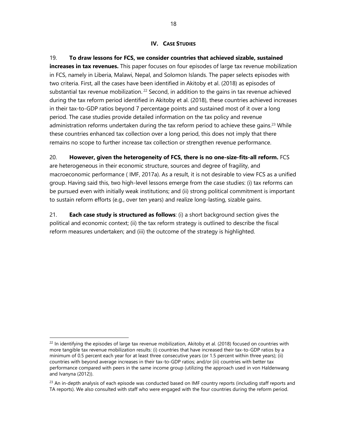#### **IV. CASE STUDIES**

19. **To draw lessons for FCS, we consider countries that achieved sizable, sustained increases in tax revenues.** This paper focuses on four episodes of large tax revenue mobilization in FCS, namely in Liberia, Malawi, Nepal, and Solomon Islands. The paper selects episodes with two criteria. First, all the cases have been identified in Akitoby et al. (2018) as episodes of substantial tax revenue mobilization.<sup>22</sup> Second, in addition to the gains in tax revenue achieved during the tax reform period identified in Akitoby et al. (2018), these countries achieved increases in their tax-to-GDP ratios beyond 7 percentage points and sustained most of it over a long period. The case studies provide detailed information on the tax policy and revenue administration reforms undertaken during the tax reform period to achieve these gains.<sup>23</sup> While these countries enhanced tax collection over a long period, this does not imply that there remains no scope to further increase tax collection or strengthen revenue performance.

## 20. **However, given the heterogeneity of FCS, there is no one-size-fits-all reform.** FCS

are heterogeneous in their economic structure, sources and degree of fragility, and macroeconomic performance ( IMF, 2017a). As a result, it is not desirable to view FCS as a unified group. Having said this, two high-level lessons emerge from the case studies: (i) tax reforms can be pursued even with initially weak institutions; and (ii) strong political commitment is important to sustain reform efforts (e.g., over ten years) and realize long-lasting, sizable gains.

21. **Each case study is structured as follows**: (i) a short background section gives the political and economic context; (ii) the tax reform strategy is outlined to describe the fiscal reform measures undertaken; and (iii) the outcome of the strategy is highlighted.

 $22$  In identifying the episodes of large tax revenue mobilization, Akitoby et al. (2018) focused on countries with more tangible tax revenue mobilization results: (i) countries that have increased their tax-to-GDP ratios by a minimum of 0.5 percent each year for at least three consecutive years (or 1.5 percent within three years); (ii) countries with beyond average increases in their tax-to-GDP ratios; and/or (iii) countries with better tax performance compared with peers in the same income group (utilizing the approach used in von Haldenwang and Ivanyna (2012)).

 $23$  An in-depth analysis of each episode was conducted based on IMF country reports (including staff reports and TA reports). We also consulted with staff who were engaged with the four countries during the reform period.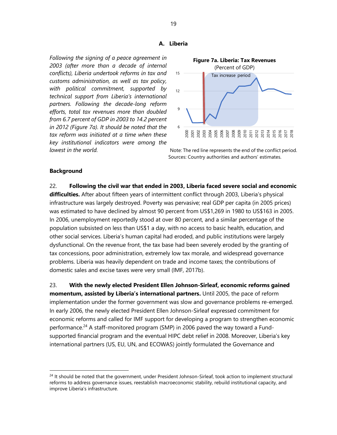#### **A. Liberia**

*Following the signing of a peace agreement in 2003 (after more than a decade of internal conflicts), Liberia undertook reforms in tax and customs administration, as well as tax policy, with political commitment, supported by technical support from Liberia's international partners. Following the decade-long reform efforts, total tax revenues more than doubled from 6.7 percent of GDP in 2003 to 14.2 percent in 2012 (Figure 7a). It should be noted that the tax reform was initiated at a time when these key institutional indicators were among the* 



*lowest in the world.* Note: The red line represents the end of the conflict period. Sources: Country authorities and authors' estimates.

#### **Background**

22. **Following the civil war that ended in 2003, Liberia faced severe social and economic difficulties.** After about fifteen years of intermittent conflict through 2003, Liberia's physical infrastructure was largely destroyed. Poverty was pervasive; real GDP per capita (in 2005 prices) was estimated to have declined by almost 90 percent from US\$1,269 in 1980 to US\$163 in 2005. In 2006, unemployment reportedly stood at over 80 percent, and a similar percentage of the population subsisted on less than US\$1 a day, with no access to basic health, education, and other social services. Liberia's human capital had eroded, and public institutions were largely dysfunctional. On the revenue front, the tax base had been severely eroded by the granting of tax concessions, poor administration, extremely low tax morale, and widespread governance problems. Liberia was heavily dependent on trade and income taxes; the contributions of domestic sales and excise taxes were very small (IMF, 2017b).

23. **With the newly elected President Ellen Johnson-Sirleaf, economic reforms gained momentum, assisted by Liberia's international partners.** Until 2005, the pace of reform implementation under the former government was slow and governance problems re-emerged. In early 2006, the newly elected President Ellen Johnson-Sirleaf expressed commitment for economic reforms and called for IMF support for developing a program to strengthen economic performance.<sup>24</sup> A staff-monitored program (SMP) in 2006 paved the way toward a Fundsupported financial program and the eventual HIPC debt relief in 2008. Moreover, Liberia's key international partners (US, EU, UN, and ECOWAS) jointly formulated the Governance and

<sup>&</sup>lt;sup>24</sup> It should be noted that the government, under President Johnson-Sirleaf, took action to implement structural reforms to address governance issues, reestablish macroeconomic stability, rebuild institutional capacity, and improve Liberia's infrastructure.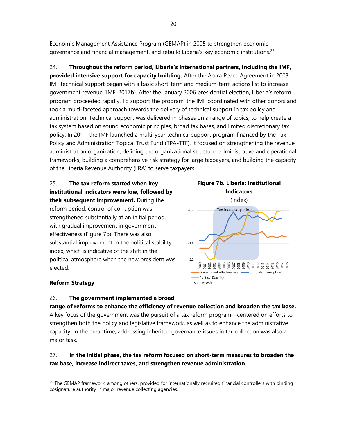Economic Management Assistance Program (GEMAP) in 2005 to strengthen economic governance and financial management, and rebuild Liberia's key economic institutions.<sup>25</sup>

24. **Throughout the reform period, Liberia's international partners, including the IMF, provided intensive support for capacity building.** After the Accra Peace Agreement in 2003, IMF technical support began with a basic short-term and medium-term actions list to increase government revenue (IMF, 2017b). After the January 2006 presidential election, Liberia's reform program proceeded rapidly. To support the program, the IMF coordinated with other donors and took a multi-faceted approach towards the delivery of technical support in tax policy and administration. Technical support was delivered in phases on a range of topics, to help create a tax system based on sound economic principles, broad tax bases, and limited discretionary tax policy. In 2011, the IMF launched a multi-year technical support program financed by the Tax Policy and Administration Topical Trust Fund (TPA-TTF). It focused on strengthening the revenue administration organization, defining the organizational structure, administrative and operational frameworks, building a comprehensive risk strategy for large taxpayers, and building the capacity of the Liberia Revenue Authority (LRA) to serve taxpayers.

25. **The tax reform started when key institutional indicators were low, followed by their subsequent improvement.** During the reform period, control of corruption was strengthened substantially at an initial period, with gradual improvement in government effectiveness (Figure 7b). There was also substantial improvement in the political stability index, which is indicative of the shift in the political atmosphere when the new president was elected.



# **Reform Strategy**

#### 26. **The government implemented a broad**

**range of reforms to enhance the efficiency of revenue collection and broaden the tax base.** A key focus of the government was the pursuit of a tax reform program—centered on efforts to strengthen both the policy and legislative framework, as well as to enhance the administrative capacity. In the meantime, addressing inherited governance issues in tax collection was also a major task.

# 27. **In the initial phase, the tax reform focused on short-term measures to broaden the tax base, increase indirect taxes, and strengthen revenue administration.**

<sup>&</sup>lt;sup>25</sup> The GEMAP framework, among others, provided for internationally recruited financial controllers with binding cosignature authority in major revenue collecting agencies.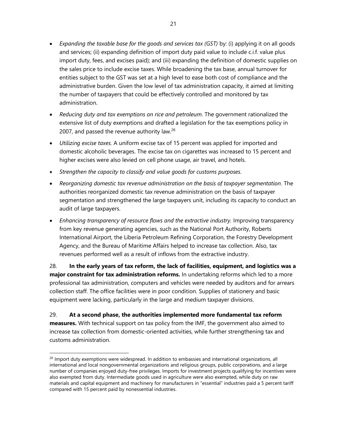- *Expanding the taxable base for the goods and services tax (GST)* by: (i) applying it on all goods and services; (ii) expanding definition of import duty paid value to include c.i.f. value plus import duty, fees, and excises paid); and (iii) expanding the definition of domestic supplies on the sales price to include excise taxes. While broadening the tax base, annual turnover for entities subject to the GST was set at a high level to ease both cost of compliance and the administrative burden. Given the low level of tax administration capacity, it aimed at limiting the number of taxpayers that could be effectively controlled and monitored by tax administration.
- *Reducing duty and tax exemptions on rice and petroleum*. The government rationalized the extensive list of duty exemptions and drafted a legislation for the tax exemptions policy in 2007, and passed the revenue authority law. $26$
- *Utilizing excise taxes.* A uniform excise tax of 15 percent was applied for imported and domestic alcoholic beverages. The excise tax on cigarettes was increased to 15 percent and higher excises were also levied on cell phone usage, air travel, and hotels.
- *Strengthen the capacity to classify and value goods for customs purposes.*
- *Reorganizing domestic tax revenue administration on the basis of taxpayer segmentation*. The authorities reorganized domestic tax revenue administration on the basis of taxpayer segmentation and strengthened the large taxpayers unit, including its capacity to conduct an audit of large taxpayers.
- *Enhancing transparency of resource flows and the extractive industry.* Improving transparency from key revenue generating agencies, such as the National Port Authority, Roberts International Airport, the Liberia Petroleum Refining Corporation, the Forestry Development Agency, and the Bureau of Maritime Affairs helped to increase tax collection. Also, tax revenues performed well as a result of inflows from the extractive industry.

28. **In the early years of tax reform, the lack of facilities, equipment, and logistics was a major constraint for tax administration reforms.** In undertaking reforms which led to a more professional tax administration, computers and vehicles were needed by auditors and for arrears collection staff. The office facilities were in poor condition. Supplies of stationery and basic equipment were lacking, particularly in the large and medium taxpayer divisions.

29. **At a second phase, the authorities implemented more fundamental tax reform measures.** With technical support on tax policy from the IMF, the government also aimed to increase tax collection from domestic-oriented activities, while further strengthening tax and customs administration.

<sup>&</sup>lt;sup>26</sup> Import duty exemptions were widespread. In addition to embassies and international organizations, all international and local nongovernmental organizations and religious groups, public corporations, and a large number of companies enjoyed duty-free privileges. Imports for investment projects qualifying for incentives were also exempted from duty. Intermediate goods used in agriculture were also exempted, while duty on raw materials and capital equipment and machinery for manufacturers in "essential" industries paid a 5 percent tariff compared with 15 percent paid by nonessential industries.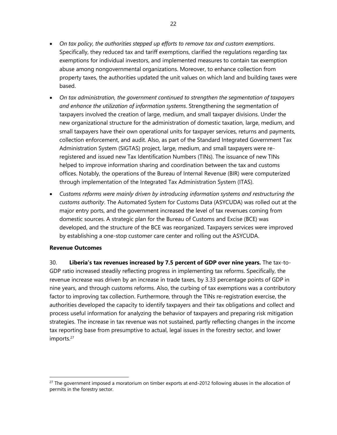- *On tax policy, the authorities stepped up efforts to remove tax and custom exemptions*. Specifically, they reduced tax and tariff exemptions, clarified the regulations regarding tax exemptions for individual investors, and implemented measures to contain tax exemption abuse among nongovernmental organizations. Moreover, to enhance collection from property taxes, the authorities updated the unit values on which land and building taxes were based.
- *On tax administration, the government continued to strengthen the segmentation of taxpayers and enhance the utilization of information systems*. Strengthening the segmentation of taxpayers involved the creation of large, medium, and small taxpayer divisions. Under the new organizational structure for the administration of domestic taxation, large, medium, and small taxpayers have their own operational units for taxpayer services, returns and payments, collection enforcement, and audit. Also, as part of the Standard Integrated Government Tax Administration System (SIGTAS) project, large, medium, and small taxpayers were reregistered and issued new Tax Identification Numbers (TINs). The issuance of new TINs helped to improve information sharing and coordination between the tax and customs offices. Notably, the operations of the Bureau of Internal Revenue (BIR) were computerized through implementation of the Integrated Tax Administration System (ITAS).
- *Customs reforms were mainly driven by introducing information systems and restructuring the customs authority*. The Automated System for Customs Data (ASYCUDA) was rolled out at the major entry ports, and the government increased the level of tax revenues coming from domestic sources. A strategic plan for the Bureau of Customs and Excise (BCE) was developed, and the structure of the BCE was reorganized. Taxpayers services were improved by establishing a one-stop customer care center and rolling out the ASYCUDA.

#### **Revenue Outcomes**

30. **Liberia's tax revenues increased by 7.5 percent of GDP over nine years.** The tax-to-GDP ratio increased steadily reflecting progress in implementing tax reforms. Specifically, the revenue increase was driven by an increase in trade taxes, by 3.33 percentage points of GDP in nine years, and through customs reforms. Also, the curbing of tax exemptions was a contributory factor to improving tax collection. Furthermore, through the TINs re-registration exercise, the authorities developed the capacity to identify taxpayers and their tax obligations and collect and process useful information for analyzing the behavior of taxpayers and preparing risk mitigation strategies. The increase in tax revenue was not sustained, partly reflecting changes in the income tax reporting base from presumptive to actual, legal issues in the forestry sector, and lower imports.<sup>27</sup>

 $27$  The government imposed a moratorium on timber exports at end-2012 following abuses in the allocation of permits in the forestry sector.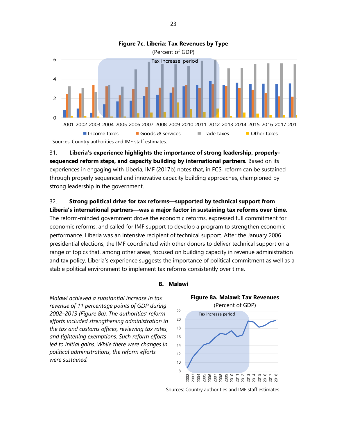

31. **Liberia's experience highlights the importance of strong leadership, properlysequenced reform steps, and capacity building by international partners.** Based on its experiences in engaging with Liberia, IMF (2017b) notes that, in FCS, reform can be sustained through properly sequenced and innovative capacity building approaches, championed by strong leadership in the government.

# 32. **Strong political drive for tax reforms—supported by technical support from**

**Liberia's international partners—was a major factor in sustaining tax reforms over time.** The reform-minded government drove the economic reforms, expressed full commitment for economic reforms, and called for IMF support to develop a program to strengthen economic performance. Liberia was an intensive recipient of technical support. After the January 2006 presidential elections, the IMF coordinated with other donors to deliver technical support on a range of topics that, among other areas, focused on building capacity in revenue administration and tax policy. Liberia's experience suggests the importance of political commitment as well as a stable political environment to implement tax reforms consistently over time.

**B. Malawi**

*Malawi achieved a substantial increase in tax revenue of 11 percentage points of GDP during 2002–2013 (Figure 8a). The authorities' reform efforts included strengthening administration in the tax and customs offices, reviewing tax rates, and tightening exemptions. Such reform efforts led to initial gains. While there were changes in political administrations, the reform efforts were sustained.* 



Sources: Country authorities and IMF staff estimates.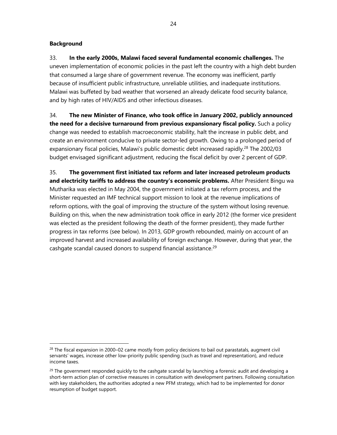### **Background**

33. **In the early 2000s, Malawi faced several fundamental economic challenges.** The uneven implementation of economic policies in the past left the country with a high debt burden that consumed a large share of government revenue. The economy was inefficient, partly because of insufficient public infrastructure, unreliable utilities, and inadequate institutions. Malawi was buffeted by bad weather that worsened an already delicate food security balance, and by high rates of HIV/AIDS and other infectious diseases.

34. **The new Minister of Finance, who took office in January 2002, publicly announced the need for a decisive turnaround from previous expansionary fiscal policy.** Such a policy change was needed to establish macroeconomic stability, halt the increase in public debt, and create an environment conducive to private sector-led growth. Owing to a prolonged period of expansionary fiscal policies, Malawi's public domestic debt increased rapidly.<sup>28</sup> The 2002/03 budget envisaged significant adjustment, reducing the fiscal deficit by over 2 percent of GDP.

35. **The government first initiated tax reform and later increased petroleum products and electricity tariffs to address the country's economic problems.** After President Bingu wa Mutharika was elected in May 2004, the government initiated a tax reform process, and the Minister requested an IMF technical support mission to look at the revenue implications of reform options, with the goal of improving the structure of the system without losing revenue. Building on this, when the new administration took office in early 2012 (the former vice president was elected as the president following the death of the former president), they made further progress in tax reforms (see below). In 2013, GDP growth rebounded, mainly on account of an improved harvest and increased availability of foreign exchange. However, during that year, the cashgate scandal caused donors to suspend financial assistance.<sup>29</sup>

 $^{28}$  The fiscal expansion in 2000–02 came mostly from policy decisions to bail out parastatals, augment civil servants' wages, increase other low-priority public spending (such as travel and representation), and reduce income taxes.

 $^{29}$  The government responded quickly to the cashgate scandal by launching a forensic audit and developing a short-term action plan of corrective measures in consultation with development partners. Following consultation with key stakeholders, the authorities adopted a new PFM strategy, which had to be implemented for donor resumption of budget support.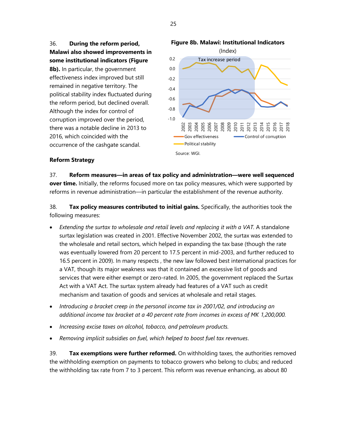

**8b).** In particular, the government effectiveness index improved but still remained in negative territory. The political stability index fluctuated during the reform period, but declined overall. Although the index for control of corruption improved over the period, there was a notable decline in 2013 to 2016, which coincided with the occurrence of the cashgate scandal.



# **Reform Strategy**

37. **Reform measures—in areas of tax policy and administration—were well sequenced over time.** Initially, the reforms focused more on tax policy measures, which were supported by reforms in revenue administration—in particular the establishment of the revenue authority.

38. **Tax policy measures contributed to initial gains.** Specifically, the authorities took the following measures:

- *Extending the surtax to wholesale and retail levels and replacing it with a VAT.* A standalone surtax legislation was created in 2001. Effective November 2002, the surtax was extended to the wholesale and retail sectors, which helped in expanding the tax base (though the rate was eventually lowered from 20 percent to 17.5 percent in mid-2003, and further reduced to 16.5 percent in 2009). In many respects , the new law followed best international practices for a VAT, though its major weakness was that it contained an excessive list of goods and services that were either exempt or zero-rated. In 2005, the government replaced the Surtax Act with a VAT Act. The surtax system already had features of a VAT such as credit mechanism and taxation of goods and services at wholesale and retail stages.
- *Introducing a bracket creep in the personal income tax in 2001/02, and introducing an additional income tax bracket at a 40 percent rate from incomes in excess of MK 1,200,000.*
- *Increasing excise taxes on alcohol, tobacco, and petroleum products.*
- *Removing implicit subsidies on fuel, which helped to boost fuel tax revenues*.

39. **Tax exemptions were further reformed.** On withholding taxes, the authorities removed the withholding exemption on payments to tobacco growers who belong to clubs; and reduced the withholding tax rate from 7 to 3 percent. This reform was revenue enhancing, as about 80

25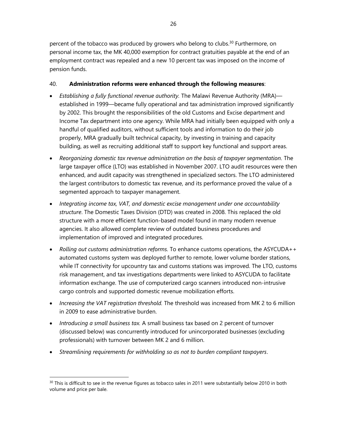percent of the tobacco was produced by growers who belong to clubs.<sup>30</sup> Furthermore, on personal income tax, the MK 40,000 exemption for contract gratuities payable at the end of an employment contract was repealed and a new 10 percent tax was imposed on the income of pension funds.

## 40. **Administration reforms were enhanced through the following measures**:

- *Establishing a fully functional revenue authority.* The Malawi Revenue Authority (MRA) established in 1999—became fully operational and tax administration improved significantly by 2002. This brought the responsibilities of the old Customs and Excise department and Income Tax department into one agency. While MRA had initially been equipped with only a handful of qualified auditors, without sufficient tools and information to do their job properly, MRA gradually built technical capacity, by investing in training and capacity building, as well as recruiting additional staff to support key functional and support areas.
- *Reorganizing domestic tax revenue administration on the basis of taxpayer segmentation.* The large taxpayer office (LTO) was established in November 2007. LTO audit resources were then enhanced, and audit capacity was strengthened in specialized sectors. The LTO administered the largest contributors to domestic tax revenue, and its performance proved the value of a segmented approach to taxpayer management.
- *Integrating income tax, VAT, and domestic excise management under one accountability structure*. The Domestic Taxes Division (DTD) was created in 2008. This replaced the old structure with a more efficient function-based model found in many modern revenue agencies. It also allowed complete review of outdated business procedures and implementation of improved and integrated procedures.
- *Rolling out customs administration reforms.* To enhance customs operations, the ASYCUDA++ automated customs system was deployed further to remote, lower volume border stations, while IT connectivity for upcountry tax and customs stations was improved. The LTO, customs risk management, and tax investigations departments were linked to ASYCUDA to facilitate information exchange. The use of computerized cargo scanners introduced non-intrusive cargo controls and supported domestic revenue mobilization efforts.
- *Increasing the VAT registration threshold.* The threshold was increased from MK 2 to 6 million in 2009 to ease administrative burden.
- *Introducing a small business tax.* A small business tax based on 2 percent of turnover (discussed below) was concurrently introduced for unincorporated businesses (excluding professionals) with turnover between MK 2 and 6 million.
- *Streamlining requirements for withholding so as not to burden compliant taxpayers*.

 $30$  This is difficult to see in the revenue figures as tobacco sales in 2011 were substantially below 2010 in both volume and price per bale.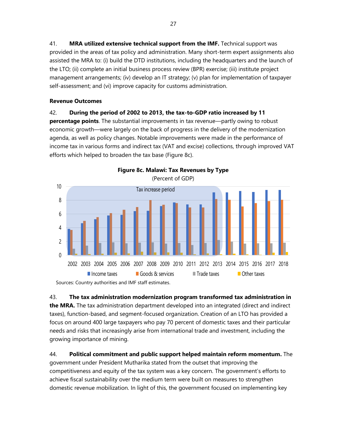41. **MRA utilized extensive technical support from the IMF.** Technical support was provided in the areas of tax policy and administration. Many short-term expert assignments also assisted the MRA to: (i) build the DTD institutions, including the headquarters and the launch of the LTO; (ii) complete an initial business process review (BPR) exercise; (iii) institute project management arrangements; (iv) develop an IT strategy; (v) plan for implementation of taxpayer self-assessment; and (vi) improve capacity for customs administration.

## **Revenue Outcomes**

# 42. **During the period of 2002 to 2013, the tax-to-GDP ratio increased by 11**

**percentage points**. The substantial improvements in tax revenue—partly owing to robust economic growth—were largely on the back of progress in the delivery of the modernization agenda, as well as policy changes. Notable improvements were made in the performance of income tax in various forms and indirect tax (VAT and excise) collections, through improved VAT efforts which helped to broaden the tax base (Figure 8c).



43. **The tax administration modernization program transformed tax administration in the MRA.** The tax administration department developed into an integrated (direct and indirect taxes), function-based, and segment-focused organization. Creation of an LTO has provided a focus on around 400 large taxpayers who pay 70 percent of domestic taxes and their particular needs and risks that increasingly arise from international trade and investment, including the growing importance of mining.

44. **Political commitment and public support helped maintain reform momentum.** The government under President Mutharika stated from the outset that improving the competitiveness and equity of the tax system was a key concern. The government's efforts to achieve fiscal sustainability over the medium term were built on measures to strengthen domestic revenue mobilization. In light of this, the government focused on implementing key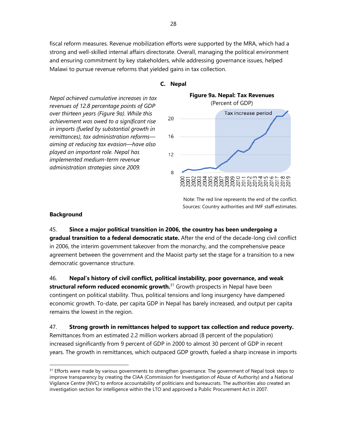fiscal reform measures. Revenue mobilization efforts were supported by the MRA, which had a strong and well-skilled internal affairs directorate. Overall, managing the political environment and ensuring commitment by key stakeholders, while addressing governance issues, helped Malawi to pursue revenue reforms that yielded gains in tax collection.

*Nepal achieved cumulative increases in tax revenues of 12.8 percentage points of GDP over thirteen years (Figure 9a). While this*  20 *achievement was owed to a significant rise in imports (fueled by substantial growth in remittances), tax administration reforms—* 16 *aiming at reducing tax evasion—have also played an important role. Nepal has*   $12$ *implemented medium-term revenue administration strategies since 2009.* 8





Note: The red line represents the end of the conflict. Sources: Country authorities and IMF staff estimates.

#### **Background**

45. **Since a major political transition in 2006, the country has been undergoing a gradual transition to a federal democratic state.** After the end of the decade-long civil conflict in 2006, the interim government takeover from the monarchy, and the comprehensive peace agreement between the government and the Maoist party set the stage for a transition to a new democratic governance structure.

46. **Nepal's history of civil conflict, political instability, poor governance, and weak structural reform reduced economic growth.** <sup>31</sup> Growth prospects in Nepal have been contingent on political stability. Thus, political tensions and long insurgency have dampened economic growth. To-date, per capita GDP in Nepal has barely increased, and output per capita remains the lowest in the region.

47. **Strong growth in remittances helped to support tax collection and reduce poverty.** Remittances from an estimated 2.2 million workers abroad (8 percent of the population) increased significantly from 9 percent of GDP in 2000 to almost 30 percent of GDP in recent years. The growth in remittances, which outpaced GDP growth, fueled a sharp increase in imports

<sup>&</sup>lt;sup>31</sup> Efforts were made by various governments to strengthen governance. The government of Nepal took steps to improve transparency by creating the CIAA (Commission for Investigation of Abuse of Authority) and a National Vigilance Centre (NVC) to enforce accountability of politicians and bureaucrats. The authorities also created an investigation section for intelligence within the LTO and approved a Public Procurement Act in 2007.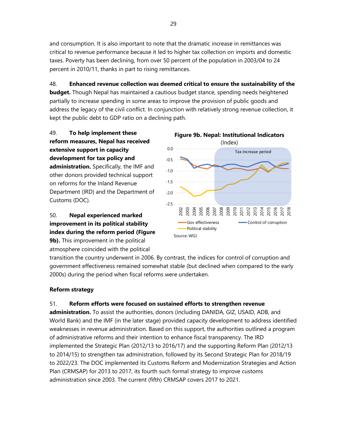and consumption. It is also important to note that the dramatic increase in remittances was critical to revenue performance because it led to higher tax collection on imports and domestic taxes. Poverty has been declining, from over 50 percent of the population in 2003/04 to 24 percent in 2010/11, thanks in part to rising remittances.

48. **Enhanced revenue collection was deemed critical to ensure the sustainability of the budget.** Though Nepal has maintained a cautious budget stance, spending needs heightened partially to increase spending in some areas to improve the provision of public goods and address the legacy of the civil conflict. In conjunction with relatively strong revenue collection, it kept the public debt to GDP ratio on a declining path.

49. **To help implement these reform measures, Nepal has received extensive support in capacity development for tax policy and administration.** Specifically, the IMF and other donors provided technical support on reforms for the Inland Revenue Department (IRD) and the Department of Customs (DOC).

# 50. **Nepal experienced marked improvement in its political stability index during the reform period (Figure**

**9b).** This improvement in the political atmosphere coincided with the political



transition the country underwent in 2006. By contrast, the indices for control of corruption and government effectiveness remained somewhat stable (but declined when compared to the early 2000s) during the period when fiscal reforms were undertaken.

# **Reform strategy**

# 51. **Reform efforts were focused on sustained efforts to strengthen revenue**

**administration.** To assist the authorities, donors (including DANIDA, GIZ, USAID, ADB, and World Bank) and the IMF (in the later stage) provided capacity development to address identified weaknesses in revenue administration. Based on this support, the authorities outlined a program of administrative reforms and their intention to enhance fiscal transparency. The IRD implemented the Strategic Plan (2012/13 to 2016/17) and the supporting Reform Plan (2012/13 to 2014/15) to strengthen tax administration, followed by its Second Strategic Plan for 2018/19 to 2022/23. The DOC implemented its Customs Reform and Modernization Strategies and Action Plan (CRMSAP) for 2013 to 2017, its fourth such formal strategy to improve customs administration since 2003. The current (fifth) CRMSAP covers 2017 to 2021.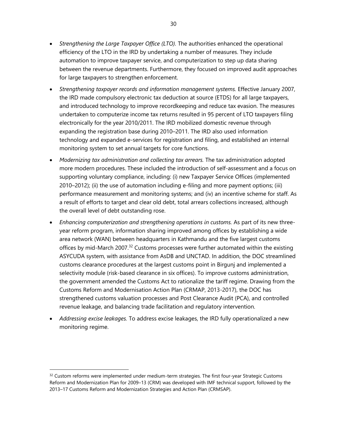- *Strengthening the Large Taxpayer Office (LTO).* The authorities enhanced the operational efficiency of the LTO in the IRD by undertaking a number of measures. They include automation to improve taxpayer service, and computerization to step up data sharing between the revenue departments. Furthermore, they focused on improved audit approaches for large taxpayers to strengthen enforcement.
- *Strengthening taxpayer records and information management systems.* Effective January 2007, the IRD made compulsory electronic tax deduction at source (ETDS) for all large taxpayers, and introduced technology to improve recordkeeping and reduce tax evasion. The measures undertaken to computerize income tax returns resulted in 95 percent of LTO taxpayers filing electronically for the year 2010/2011. The IRD mobilized domestic revenue through expanding the registration base during 2010–2011. The IRD also used information technology and expanded e-services for registration and filing, and established an internal monitoring system to set annual targets for core functions.
- *Modernizing tax administration and collecting tax arrears.* The tax administration adopted more modern procedures. These included the introduction of self-assessment and a focus on supporting voluntary compliance, including: (i) new Taxpayer Service Offices (implemented 2010–2012); (ii) the use of automation including e-filing and more payment options; (iii) performance measurement and monitoring systems; and (iv) an incentive scheme for staff. As a result of efforts to target and clear old debt, total arrears collections increased, although the overall level of debt outstanding rose.
- *Enhancing computerization and strengthening operations in customs.* As part of its new threeyear reform program, information sharing improved among offices by establishing a wide area network (WAN) between headquarters in Kathmandu and the five largest customs offices by mid-March 2007.<sup>32</sup> Customs processes were further automated within the existing ASYCUDA system, with assistance from AsDB and UNCTAD. In addition, the DOC streamlined customs clearance procedures at the largest customs point in Birgunj and implemented a selectivity module (risk-based clearance in six offices). To improve customs administration, the government amended the Customs Act to rationalize the tariff regime. Drawing from the Customs Reform and Modernisation Action Plan (CRMAP, 2013-2017), the DOC has strengthened customs valuation processes and Post Clearance Audit (PCA), and controlled revenue leakage, and balancing trade facilitation and regulatory intervention.
- *Addressing excise leakages.* To address excise leakages, the IRD fully operationalized a new monitoring regime.

 $32$  Custom reforms were implemented under medium-term strategies. The first four-year Strategic Customs Reform and Modernization Plan for 2009–13 (CRM) was developed with IMF technical support, followed by the 2013–17 Customs Reform and Modernization Strategies and Action Plan (CRMSAP).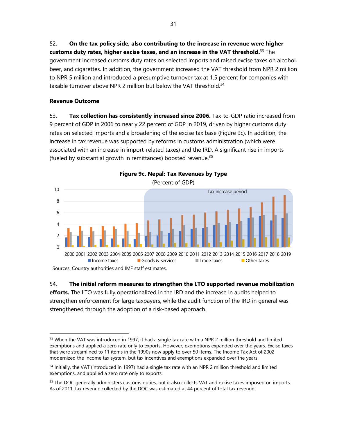52. **On the tax policy side, also contributing to the increase in revenue were higher customs duty rates, higher excise taxes, and an increase in the VAT threshold.** <sup>33</sup> The government increased customs duty rates on selected imports and raised excise taxes on alcohol, beer, and cigarettes. In addition, the government increased the VAT threshold from NPR 2 million to NPR 5 million and introduced a presumptive turnover tax at 1.5 percent for companies with taxable turnover above NPR 2 million but below the VAT threshold.<sup>34</sup>

# **Revenue Outcome**

53. **Tax collection has consistently increased since 2006.** Tax-to-GDP ratio increased from 9 percent of GDP in 2006 to nearly 22 percent of GDP in 2019, driven by higher customs duty rates on selected imports and a broadening of the excise tax base (Figure 9c). In addition, the increase in tax revenue was supported by reforms in customs administration (which were associated with an increase in import-related taxes) and the IRD. A significant rise in imports (fueled by substantial growth in remittances) boosted revenue. $35$ 



54. **The initial reform measures to strengthen the LTO supported revenue mobilization efforts.** The LTO was fully operationalized in the IRD and the increase in audits helped to strengthen enforcement for large taxpayers, while the audit function of the IRD in general was strengthened through the adoption of a risk-based approach.

<sup>&</sup>lt;sup>33</sup> When the VAT was introduced in 1997, it had a single tax rate with a NPR 2 million threshold and limited exemptions and applied a zero rate only to exports. However, exemptions expanded over the years. Excise taxes that were streamlined to 11 items in the 1990s now apply to over 50 items. The Income Tax Act of 2002 modernized the income tax system, but tax incentives and exemptions expanded over the years.

<sup>34</sup> Initially, the VAT (introduced in 1997) had a single tax rate with an NPR 2 million threshold and limited exemptions, and applied a zero rate only to exports.

<sup>&</sup>lt;sup>35</sup> The DOC generally administers customs duties, but it also collects VAT and excise taxes imposed on imports. As of 2011, tax revenue collected by the DOC was estimated at 44 percent of total tax revenue.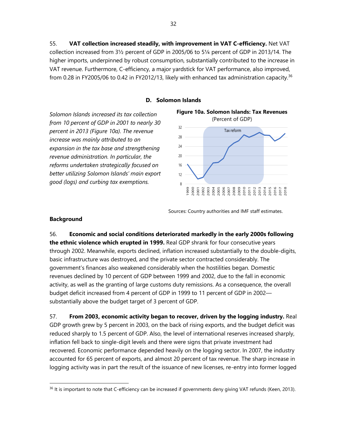55. **VAT collection increased steadily, with improvement in VAT C-efficiency.** Net VAT collection increased from 3½ percent of GDP in 2005/06 to 5¼ percent of GDP in 2013/14. The higher imports, underpinned by robust consumption, substantially contributed to the increase in VAT revenue. Furthermore, C-efficiency, a major yardstick for VAT performance, also improved, from 0.28 in FY2005/06 to 0.42 in FY2012/13, likely with enhanced tax administration capacity.<sup>36</sup>

## **D. Solomon Islands**

*Solomon Islands increased its tax collection from 10 percent of GDP in 2001 to nearly 30 percent in 2013 (Figure 10a). The revenue increase was mainly attributed to an expansion in the tax base and strengthening revenue administration. In particular, the reforms undertaken strategically focused on better utilizing Solomon Islands' main export good (logs) and curbing tax exemptions.* 



Sources: Country authorities and IMF staff estimates.

## **Background**

56. **Economic and social conditions deteriorated markedly in the early 2000s following the ethnic violence which erupted in 1999.** Real GDP shrank for four consecutive years through 2002. Meanwhile, exports declined, inflation increased substantially to the double-digits, basic infrastructure was destroyed, and the private sector contracted considerably. The government's finances also weakened considerably when the hostilities began. Domestic revenues declined by 10 percent of GDP between 1999 and 2002, due to the fall in economic activity, as well as the granting of large customs duty remissions. As a consequence, the overall budget deficit increased from 4 percent of GDP in 1999 to 11 percent of GDP in 2002 substantially above the budget target of 3 percent of GDP.

57. **From 2003, economic activity began to recover, driven by the logging industry.** Real GDP growth grew by 5 percent in 2003, on the back of rising exports, and the budget deficit was reduced sharply to 1.5 percent of GDP. Also, the level of international reserves increased sharply, inflation fell back to single-digit levels and there were signs that private investment had recovered. Economic performance depended heavily on the logging sector. In 2007, the industry accounted for 65 percent of exports, and almost 20 percent of tax revenue. The sharp increase in logging activity was in part the result of the issuance of new licenses, re-entry into former logged

<sup>&</sup>lt;sup>36</sup> It is important to note that C-efficiency can be increased if governments deny giving VAT refunds (Keen, 2013).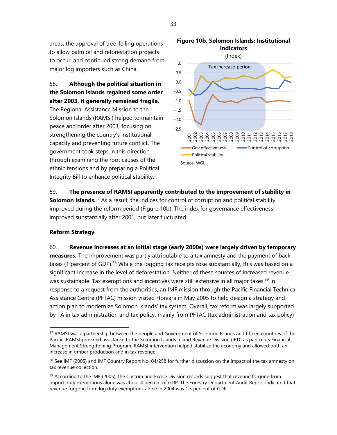areas, the approval of tree-felling operations to allow palm oil and reforestation projects to occur, and continued strong demand from major log importers such as China.

58. **Although the political situation in the Solomon Islands regained some order after 2003, it generally remained fragile.** 

The Regional Assistance Mission to the Solomon Islands (RAMSI) helped to maintain peace and order after 2003, focusing on strengthening the country's institutional capacity and preventing future conflict. The government took steps in this direction through examining the root causes of the ethnic tensions and by preparing a Political Integrity Bill to enhance political stability.





# 59. **The presence of RAMSI apparently contributed to the improvement of stability in Solomon Islands.**<sup>37</sup> As a result, the indices for control of corruption and political stability improved during the reform period (Figure 10b). The index for governance effectiveness improved substantially after 2001, but later fluctuated.

# **Reform Strategy**

60. **Revenue increases at an initial stage (early 2000s) were largely driven by temporary measures.** The improvement was partly attributable to a tax amnesty and the payment of back taxes (1 percent of GDP).<sup>38</sup> While the logging tax receipts rose substantially, this was based on a significant increase in the level of deforestation. Neither of these sources of increased revenue was sustainable. Tax exemptions and incentives were still extensive in all major taxes.<sup>39</sup> In response to a request from the authorities, an IMF mission through the Pacific Financial Technical Assistance Centre (PFTAC) mission visited Honiara in May 2005 to help design a strategy and action plan to modernize Solomon Islands' tax system. Overall, tax reform was largely supported by TA in tax administration and tax policy, mainly from PFTAC (tax administration and tax policy)

<sup>&</sup>lt;sup>37</sup> RAMSI was a partnership between the people and Government of Solomon Islands and fifteen countries of the Pacific. RAMSI provided assistance to the Solomon Islands Inland Revenue Division (IRD) as part of its Financial Management Strengthening Program. RAMSI intervention helped stabilize the economy and allowed both an increase in timber production and in tax revenue.

<sup>&</sup>lt;sup>38</sup> See IMF (2005) and IMF Country Report No. 04/258 for further discussion on the impact of the tax amnesty on tax revenue collection.

<sup>&</sup>lt;sup>39</sup> According to the IMF (2005), the Custom and Excise Division records suggest that revenue forgone from import duty exemptions alone was about 4 percent of GDP. The Forestry Department Audit Report indicated that revenue forgone from log duty exemptions alone in 2004 was 1.5 percent of GDP.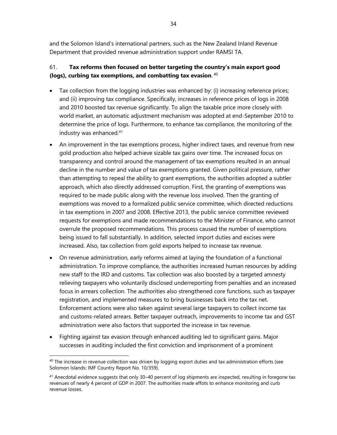and the Solomon Island's international partners, such as the New Zealand Inland Revenue Department that provided revenue administration support under RAMSI TA.

# 61. **Tax reforms then focused on better targeting the country's main export good (logs), curbing tax exemptions, and combatting tax evasion**. 40

- Tax collection from the logging industries was enhanced by: (i) increasing reference prices; and (ii) improving tax compliance. Specifically, increases in reference prices of logs in 2008 and 2010 boosted tax revenue significantly. To align the taxable price more closely with world market, an automatic adjustment mechanism was adopted at end-September 2010 to determine the price of logs. Furthermore, to enhance tax compliance, the monitoring of the industry was enhanced.<sup>41</sup>
- An improvement in the tax exemptions process, higher indirect taxes, and revenue from new gold production also helped achieve sizable tax gains over time. The increased focus on transparency and control around the management of tax exemptions resulted in an annual decline in the number and value of tax exemptions granted. Given political pressure, rather than attempting to repeal the ability to grant exemptions, the authorities adopted a subtler approach, which also directly addressed corruption. First, the granting of exemptions was required to be made public along with the revenue loss involved. Then the granting of exemptions was moved to a formalized public service committee, which directed reductions in tax exemptions in 2007 and 2008. Effective 2013, the public service committee reviewed requests for exemptions and made recommendations to the Minister of Finance, who cannot overrule the proposed recommendations. This process caused the number of exemptions being issued to fall substantially. In addition, selected import duties and excises were increased. Also, tax collection from gold exports helped to increase tax revenue.
- On revenue administration, early reforms aimed at laying the foundation of a functional administration. To improve compliance, the authorities increased human resources by adding new staff to the IRD and customs. Tax collection was also boosted by a targeted amnesty relieving taxpayers who voluntarily disclosed underreporting from penalties and an increased focus in arrears collection. The authorities also strengthened core functions, such as taxpayer registration, and implemented measures to bring businesses back into the tax net. Enforcement actions were also taken against several large taxpayers to collect income tax and customs-related arrears. Better taxpayer outreach, improvements to income tax and GST administration were also factors that supported the increase in tax revenue.
- Fighting against tax evasion through enhanced auditing led to significant gains. Major successes in auditing included the first conviction and imprisonment of a prominent

 $40$  The increase in revenue collection was driven by logging export duties and tax administration efforts (see Solomon Islands: IMF Country Report No. 10/359).

<sup>&</sup>lt;sup>41</sup> Anecdotal evidence suggests that only 30-40 percent of log shipments are inspected, resulting in foregone tax revenues of nearly 4 percent of GDP in 2007. The authorities made effots to enhance monitoring and curb revenue losses.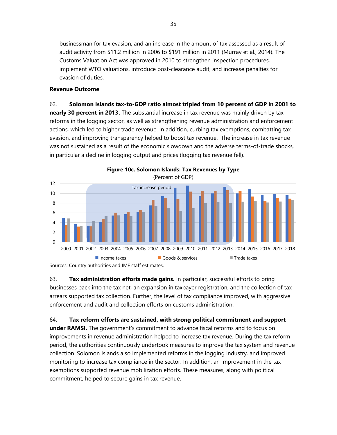businessman for tax evasion, and an increase in the amount of tax assessed as a result of audit activity from \$11.2 million in 2006 to \$191 million in 2011 (Murray et al., 2014). The Customs Valuation Act was approved in 2010 to strengthen inspection procedures, implement WTO valuations, introduce post-clearance audit, and increase penalties for evasion of duties.

# **Revenue Outcome**

62. **Solomon Islands tax-to-GDP ratio almost tripled from 10 percent of GDP in 2001 to nearly 30 percent in 2013.** The substantial increase in tax revenue was mainly driven by tax reforms in the logging sector, as well as strengthening revenue administration and enforcement actions, which led to higher trade revenue. In addition, curbing tax exemptions, combatting tax evasion, and improving transparency helped to boost tax revenue. The increase in tax revenue was not sustained as a result of the economic slowdown and the adverse terms-of-trade shocks, in particular a decline in logging output and prices (logging tax revenue fell).



Sources: Country authorities and IMF staff estimates.

63. **Tax administration efforts made gains.** In particular, successful efforts to bring businesses back into the tax net, an expansion in taxpayer registration, and the collection of tax arrears supported tax collection. Further, the level of tax compliance improved, with aggressive enforcement and audit and collection efforts on customs administration.

64. **Tax reform efforts are sustained, with strong political commitment and support under RAMSI.** The government's commitment to advance fiscal reforms and to focus on improvements in revenue administration helped to increase tax revenue. During the tax reform period, the authorities continuously undertook measures to improve the tax system and revenue collection. Solomon Islands also implemented reforms in the logging industry, and improved monitoring to increase tax compliance in the sector. In addition, an improvement in the tax exemptions supported revenue mobilization efforts. These measures, along with political commitment, helped to secure gains in tax revenue.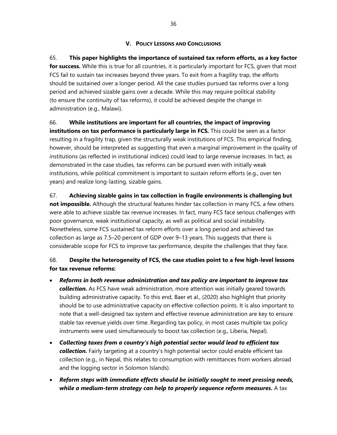# **V. POLICY LESSONS AND CONCLUSIONS**

65. **This paper highlights the importance of sustained tax reform efforts, as a key factor for success.** While this is true for all countries, it is particularly important for FCS, given that most FCS fail to sustain tax increases beyond three years. To exit from a fragility trap, the efforts should be sustained over a longer period. All the case studies pursued tax reforms over a long period and achieved sizable gains over a decade. While this may require political stability (to ensure the continuity of tax reforms), it could be achieved despite the change in administration (e.g., Malawi).

# 66. **While institutions are important for all countries, the impact of improving**

**institutions on tax performance is particularly large in FCS.** This could be seen as a factor resulting in a fragility trap, given the structurally weak institutions of FCS. This empirical finding, however, should be interpreted as suggesting that even a marginal improvement in the quality of institutions (as reflected in institutional indices) could lead to large revenue increases. In fact, as demonstrated in the case studies, tax reforms can be pursued even with initially weak institutions, while political commitment is important to sustain reform efforts (e.g., over ten years) and realize long-lasting, sizable gains.

67. **Achieving sizable gains in tax collection in fragile environments is challenging but not impossible.** Although the structural features hinder tax collection in many FCS, a few others were able to achieve sizable tax revenue increases. In fact, many FCS face serious challenges with poor governance, weak institutional capacity, as well as political and social instability. Nonetheless, some FCS sustained tax reform efforts over a long period and achieved tax collection as large as 7.5–20 percent of GDP over 9–13 years. This suggests that there is considerable scope for FCS to improve tax performance, despite the challenges that they face.

# 68. **Despite the heterogeneity of FCS, the case studies point to a few high-level lessons for tax revenue reforms:**

- *Reforms in both revenue administration and tax policy are important to improve tax collection.* As FCS have weak administration, more attention was initially geared towards building administrative capacity. To this end, Baer et al., (2020) also highlight that priority should be to use administrative capacity on effective collection points. It is also important to note that a well-designed tax system and effective revenue administration are key to ensure stable tax revenue yields over time. Regarding tax policy, in most cases multiple tax policy instruments were used simultaneously to boost tax collection (e.g., Liberia, Nepal).
- *Collecting taxes from a country's high potential sector would lead to efficient tax*  **collection.** Fairly targeting at a country's high potential sector could enable efficient tax collection (e.g., in Nepal, this relates to consumption with remittances from workers abroad and the logging sector in Solomon Islands).
- *Reform steps with immediate effects should be initially sought to meet pressing needs, while a medium-term strategy can help to properly sequence reform measures.* A tax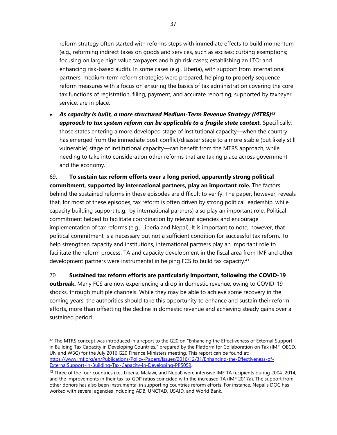reform strategy often started with reforms steps with immediate effects to build momentum (e.g., reforming indirect taxes on goods and services, such as excises; curbing exemptions; focusing on large high value taxpayers and high risk cases; establishing an LTO; and enhancing risk-based audit). In some cases (e.g., Liberia), with support from international partners, medium-term reform strategies were prepared, helping to properly sequence reform measures with a focus on ensuring the basics of tax administration covering the core tax functions of registration, filing, payment, and accurate reporting, supported by taxpayer service, are in place.

• *As capacity is built, a more structured Medium-Term Revenue Strategy (MTRS)<sup>42</sup> approach to tax system reform can be applicable to a fragile state context.* Specifically, those states entering a more developed stage of institutional capacity—when the country has emerged from the immediate post-conflict/disaster stage to a more stable (but likely still vulnerable) stage of institutional capacity—can benefit from the MTRS approach, while needing to take into consideration other reforms that are taking place across government and the economy.

69. **To sustain tax reform efforts over a long period, apparently strong political commitment, supported by international partners, play an important role.** The factors behind the sustained reforms in these episodes are difficult to verify. The paper, however, reveals that, for most of these episodes, tax reform is often driven by strong political leadership, while capacity building support (e.g., by international partners) also play an important role. Political commitment helped to facilitate coordination by relevant agencies and encourage implementation of tax reforms (e.g., Liberia and Nepal). It is important to note, however, that political commitment is a necessary but not a sufficient condition for successful tax reform. To help strengthen capacity and institutions, international partners play an important role to facilitate the reform process. TA and capacity development in the fiscal area from IMF and other development partners were instrumental in helping FCS to build tax capacity.<sup>43</sup>

70. **Sustained tax reform efforts are particularly important, following the COVID-19 outbreak.** Many FCS are now experiencing a drop in domestic revenue, owing to COVID-19 shocks, through multiple channels. While they may be able to achieve some recovery in the coming years, the authorities should take this opportunity to enhance and sustain their reform efforts, more than offsetting the decline in domestic revenue and achieving steady gains over a sustained period.

 $42$  The MTRS concept was introduced in a report to the G20 on "Enhancing the Effectiveness of External Support in Building Tax Capacity in Developing Countries," prepared by the Platform for Collaboration on Tax (IMF, OECD, UN and WBG) for the July 2016 G20 Finance Ministers meeting. This report can be found at: [https://www.imf.org/en/Publications/Policy-Papers/Issues/2016/12/31/Enhancing-the-Effectiveness-of-](https://www.imf.org/en/Publications/Policy-Papers/Issues/2016/12/31/Enhancing-the-Effectiveness-of-ExternalSupport-in-Building-Tax-Capacity-in-Developing-PP5059)[ExternalSupport-in-Building-Tax-Capacity-in-Developing-PP5059.](https://www.imf.org/en/Publications/Policy-Papers/Issues/2016/12/31/Enhancing-the-Effectiveness-of-ExternalSupport-in-Building-Tax-Capacity-in-Developing-PP5059)

<sup>&</sup>lt;sup>43</sup> Three of the four countries (i.e., Liberia, Malawi, and Nepal) were intensive IMF TA recipients during 2004–2014, and the improvements in their tax-to-GDP ratios coincided with the increased TA (IMF 2017a). The support from other donors has also been instrumental in supporting countries reform efforts. For instance, Nepal's DOC has worked with several agencies including ADB, UNCTAD, USAID, and World Bank.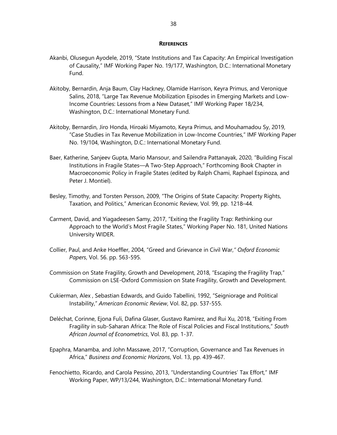#### **REFERENCES**

- Akanbi, Olusegun Ayodele, 2019, "State Institutions and Tax Capacity: An Empirical Investigation of Causality," IMF Working Paper No. 19/177, Washington, D.C.: International Monetary Fund.
- Akitoby, Bernardin, Anja Baum, Clay Hackney, Olamide Harrison, Keyra Primus, and Veronique Salins, 2018, "Large Tax Revenue Mobilization Episodes in Emerging Markets and Low-Income Countries: Lessons from a New Dataset," IMF Working Paper 18/234, Washington, D.C.: International Monetary Fund.
- Akitoby, Bernardin, Jiro Honda, Hiroaki Miyamoto, Keyra Primus, and Mouhamadou Sy, 2019, "Case Studies in Tax Revenue Mobilization in Low-Income Countries," IMF Working Paper No. 19/104, Washington, D.C.: International Monetary Fund.
- Baer, Katherine, Sanjeev Gupta, Mario Mansour, and Sailendra Pattanayak, 2020, "Building Fiscal Institutions in Fragile States—A Two-Step Approach," Forthcoming Book Chapter in Macroeconomic Policy in Fragile States (edited by Ralph Chami, Raphael Espinoza, and Peter J. Montiel).
- Besley, Timothy, and Torsten Persson, 2009, "The Origins of State Capacity: Property Rights, Taxation, and Politics," American Economic Review, Vol. 99, pp. 1218–44.
- Carment, David, and Yiagadeesen Samy, 2017, "Exiting the Fragility Trap: Rethinking our Approach to the World's Most Fragile States," Working Paper No. 181, United Nations University WIDER.
- Collier, Paul, and Anke Hoeffler, 2004, "Greed and Grievance in Civil War,*" Oxford Economic Papers*, Vol. 56. pp. 563-595.
- Commission on State Fragility, Growth and Development, 2018, "Escaping the Fragility Trap," Commission on LSE-Oxford Commission on State Fragility, Growth and Development.
- Cukierman, [Alex ,](https://www.nber.org/people/alex_cukierman) [Sebastian Edwards,](https://www.nber.org/people/sebastian_edwards) and [Guido Tabellini,](https://www.nber.org/people/guido_tabellini) 1992, "Seigniorage and Political Instability," *American Economic Review*, Vol. 82, pp. 537-555.
- Deléchat, [Corinne,](https://www.imf.org/en/Publications/Publications-By-Author?author=Corinne++Del%c3%a9chat) [Ejona Fuli,](https://www.imf.org/en/Publications/Publications-By-Author?author=Ejona++Fuli) [Dafina Glaser,](https://www.imf.org/en/Publications/Publications-By-Author?author=Dafina++Glaser) [Gustavo Ramirez,](https://www.imf.org/en/Publications/Publications-By-Author?author=Gustavo++Ramirez) and [Rui Xu](https://www.imf.org/en/Publications/Publications-By-Author?author=Rui++Xu), 2018, "Exiting From Fragility in sub-Saharan Africa: The Role of Fiscal Policies and Fiscal Institutions," *South African Journal of Econometrics*, Vol. 83, pp. 1-37.
- Epaphra, Manamba, and John Massawe, 2017, "Corruption, Governance and Tax Revenues in Africa," *Business and Economic Horizons*, Vol. 13, pp. 439-467.
- Fenochietto, Ricardo, and Carola Pessino, 2013, "Understanding Countries' Tax Effort," IMF Working Paper, WP/13/244, Washington, D.C.: International Monetary Fund.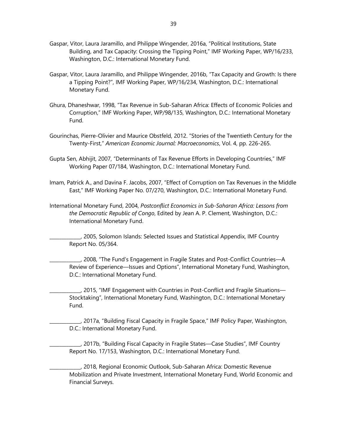- Gaspar, Vitor, Laura Jaramillo, and Philippe Wingender, 2016a, "Political Institutions, State Building, and Tax Capacity: Crossing the Tipping Point," IMF Working Paper, WP/16/233, Washington, D.C.: International Monetary Fund.
- Gaspar, Vitor, Laura Jaramillo, and Philippe Wingender, 2016b, "Tax Capacity and Growth: Is there a Tipping Point?", IMF Working Paper, WP/16/234, Washington, D.C.: International Monetary Fund.
- Ghura, Dhaneshwar, 1998, "Tax Revenue in Sub-Saharan Africa: Effects of Economic Policies and Corruption," IMF Working Paper, WP/98/135, Washington, D.C.: International Monetary Fund.
- Gourinchas, Pierre-Olivier and Maurice Obstfeld, 2012. "Stories of the Twentieth Century for the Twenty-First," *American Economic Journal: Macroeconomics*, Vol. 4, pp. 226-265.
- Gupta Sen, Abhijit, 2007, "Determinants of Tax Revenue Efforts in Developing Countries," IMF Working Paper 07/184, Washington, D.C.: International Monetary Fund.
- Imam, Patrick A., and Davina F. Jacobs, 2007, "Effect of Corruption on Tax Revenues in the Middle East," IMF Working Paper No. 07/270, Washington, D.C.: International Monetary Fund.
- International Monetary Fund, 2004, *Postconflict Economics in Sub-Saharan Africa: Lessons from the Democratic Republic of Congo*, Edited by Jean A. P. Clement, Washington, D.C.: International Monetary Fund.

\_\_\_\_\_\_\_\_\_\_\_\_\_, 2005, Solomon Islands: Selected Issues and Statistical Appendix, IMF Country Report No. 05/364.

\_\_\_\_\_\_\_\_\_\_\_\_\_, 2008, "The Fund's Engagement in Fragile States and Post-Conflict Countries—A Review of Experience—Issues and Options", International Monetary Fund, Washington, D.C.: International Monetary Fund.

\_\_\_\_\_\_\_\_\_\_\_\_\_, 2015, "IMF Engagement with Countries in Post-Conflict and Fragile Situations— Stocktaking", International Monetary Fund, Washington, D.C.: International Monetary Fund.

\_\_\_\_\_\_\_\_\_\_\_\_\_, 2017a, "Building Fiscal Capacity in Fragile Space," IMF Policy Paper, Washington, D.C.: International Monetary Fund.

\_\_\_\_\_\_\_\_\_\_\_\_\_, 2017b, "Building Fiscal Capacity in Fragile States—Case Studies", IMF Country Report No. 17/153, Washington, D.C.: International Monetary Fund.

\_\_\_\_\_\_\_\_\_\_\_\_\_, 2018, Regional Economic Outlook, Sub-Saharan Africa: Domestic Revenue Mobilization and Private Investment, International Monetary Fund, World Economic and Financial Surveys.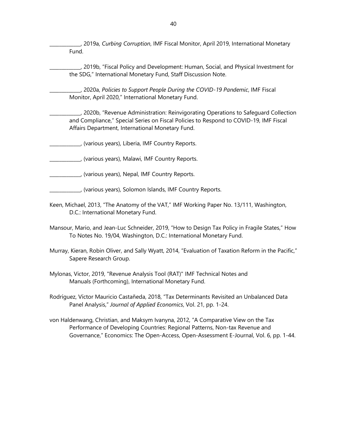\_\_\_\_\_\_\_\_\_\_\_\_\_, 2019a, *Curbing Corruption*, IMF Fiscal Monitor, April 2019, International Monetary Fund.

\_\_\_\_\_\_\_\_\_\_\_\_\_, 2019b, "Fiscal Policy and Development: Human, Social, and Physical Investment for the SDG," International Monetary Fund, Staff Discussion Note.

\_\_\_\_\_\_\_\_\_\_\_\_\_, 2020a, *Policies to Support People During the COVID-19 Pandemic*, IMF Fiscal Monitor, April 2020," International Monetary Fund.

\_\_\_\_\_\_\_\_\_\_\_\_\_, 2020b, "Revenue Administration: Reinvigorating Operations to Safeguard Collection and Compliance," Special Series on Fiscal Policies to Respond to COVID-19, IMF Fiscal Affairs Department, International Monetary Fund.

\_\_\_\_\_\_\_\_\_\_\_\_\_, (various years), Liberia, IMF Country Reports.

\_\_\_\_\_\_\_\_\_\_\_\_\_, (various years), Malawi, IMF Country Reports.

\_\_\_\_\_\_\_\_\_\_\_\_\_, (various years), Nepal, IMF Country Reports.

\_\_\_\_\_\_\_\_\_\_\_\_\_, (various years), Solomon Islands, IMF Country Reports.

- Keen, Michael, 2013, "The Anatomy of the VAT," IMF Working Paper No. 13/111, Washington, D.C.: International Monetary Fund.
- Mansour, Mario, and Jean-Luc Schneider, 2019, "How to Design Tax Policy in Fragile States," How To Notes No. 19/04, Washington, D.C.: International Monetary Fund.
- Murray, Kieran, Robin Oliver, and Sally Wyatt, 2014, "Evaluation of Taxation Reform in the Pacific," Sapere Research Group.
- Mylonas, Victor, 2019, "Revenue Analysis Tool (RAT)" [IMF Technical Notes and](https://ideas.repec.org/s/imf/imftnm.html)  [Manuals](https://ideas.repec.org/s/imf/imftnm.html) (Forthcoming), International Monetary Fund.

Rodríguez, [Víctor Mauricio Castañeda, 2018, "Tax Determinants Revisited an Unbalanced Data](https://www.tandfonline.com/author/Casta%C3%B1eda+Rodr%C3%ADguez%2C+V%C3%ADctor+Mauricio)  Panel Analysis," *[Journal of Applied Economics](https://www.tandfonline.com/author/Casta%C3%B1eda+Rodr%C3%ADguez%2C+V%C3%ADctor+Mauricio)*, Vol. 21, pp. 1-24.

von Haldenwang, Christian, and Maksym Ivanyna, 2012, "A Comparative View on the Tax Performance of Developing Countries: Regional Patterns, Non-tax Revenue and Governance," Economics: The Open-Access, Open-Assessment E-Journal, Vol. 6, pp. 1-44.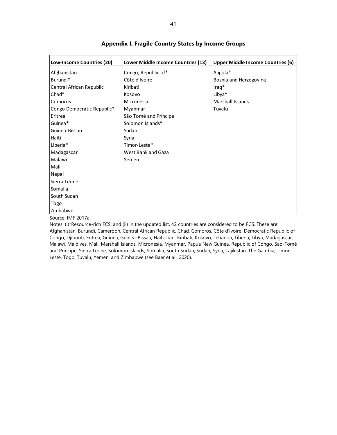| Low-Income Countries (20)  | Lower Middle Income Countries (13) | <b>Upper Middle Income Countries (6)</b> |
|----------------------------|------------------------------------|------------------------------------------|
| Afghanistan                | Congo, Republic of*                | Angola*                                  |
| Burundi*                   | Côte d'Ivoire                      | Bosnia and Herzegovina                   |
| Central African Republic   | Kiribati                           | $Iraq*$                                  |
| Chad*                      | Kosovo                             | Libya*                                   |
| <b>Comoros</b>             | Micronesia                         | <b>Marshall Islands</b>                  |
| Congo Democratic Republic* | Myanmar                            | Tuvalu                                   |
| Eritrea                    | São Tomé and Príncipe              |                                          |
| Guinea*                    | Solomon Islands*                   |                                          |
| Guinea-Bissau              | Sudan                              |                                          |
| Haiti                      | Syria                              |                                          |
| Liberia*                   | Timor-Leste*                       |                                          |
| Madagascar                 | West Bank and Gaza                 |                                          |
| Malawi                     | Yemen                              |                                          |
| Mali                       |                                    |                                          |
| Nepal                      |                                    |                                          |
| Sierra Leone               |                                    |                                          |
| Somalia                    |                                    |                                          |
| South Sudan                |                                    |                                          |
| Togo                       |                                    |                                          |
| Zimbabwe                   |                                    |                                          |
| Source: IMF 2017a.         |                                    |                                          |

#### **Appendix I. Fragile Country States by Income Groups**

Notes: (i)\*Resource-rich FCS; and (ii) in the updated list, 42 countries are considered to be FCS. These are: Afghanistan, Burundi, Cameroon, Central African Republic, Chad, Comoros, Côte d'Ivoire, Democratic Republic of Congo, Djibouti, Eritrea, Guinea, Guinea-Bissau, Haiti, Iraq, Kiribati, Kosovo, Lebanon, Liberia, Libya, Madagascar, Malawi, Maldives, Mali, Marshall Islands, Micronesia, Myanmar, Papua New Guinea, Republic of Congo, Sao-Tomé and Principe, Sierra Leone, Solomon Islands, Somalia, South Sudan, Sudan, Syria, Tajikistan, The Gambia, Timor-

Leste, Togo, Tuvalu, Yemen, and Zimbabwe (see Baer et al., 2020).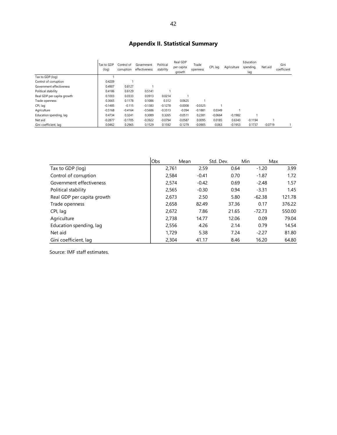# **Appendix II. Statistical Summary**

|                            | Tax to GDP<br>(log) | Control of<br>corruption | Government<br>effectiveness | Political<br>stability | Real GDP<br>per capita<br>growth | Trade<br>openness | CPI, lag  | Agriculture | Education<br>spending,<br>lag | Net aid   | Gini<br>coefficient |
|----------------------------|---------------------|--------------------------|-----------------------------|------------------------|----------------------------------|-------------------|-----------|-------------|-------------------------------|-----------|---------------------|
| Tax to GDP (log)           |                     |                          |                             |                        |                                  |                   |           |             |                               |           |                     |
| Control of corruption      | 0.4209              |                          |                             |                        |                                  |                   |           |             |                               |           |                     |
| Government effectiveness   | 0.4907              | 0.8127                   |                             |                        |                                  |                   |           |             |                               |           |                     |
| Political stability        | 0.4186              | 0.6129                   | 0.5141                      |                        |                                  |                   |           |             |                               |           |                     |
| Real GDP per capita growth | 0.1003              | 0.0333                   | 0.0913                      | 0.0214                 |                                  |                   |           |             |                               |           |                     |
| Trade openness             | 0.3665              | 0.1178                   | 0.1086                      | 0.312                  | 0.0625                           |                   |           |             |                               |           |                     |
| CPI, lag                   | $-0.1485$           | $-0.115$                 | $-0.1383$                   | $-0.1278$              | $-0.0008$                        | $-0.0325$         |           |             |                               |           |                     |
| Agriculture                | $-0.5168$           | $-0.4164$                | $-0.5686$                   | $-0.3513$              | $-0.094$                         | $-0.1881$         | 0.0349    |             |                               |           |                     |
| Education spending, lag    | 0.4734              | 0.3241                   | 0.3089                      | 0.3265                 | $-0.0511$                        | 0.2381            | $-0.0664$ | $-0.1982$   |                               |           |                     |
| Net aid                    | $-0.2877$           | $-0.1705$                | $-0.3922$                   | $-0.0794$              | $-0.0587$                        | 0.0095            | 0.0185    | 0.6343      | $-0.1194$                     |           |                     |
| Gini coefficient, lag      | 0.0462              | 0.2965                   | 0.1529                      | 0.1592                 | $-0.1279$                        | $-0.0905$         | $-0.063$  | $-0.1953$   | 0.1737                        | $-0.0719$ |                     |

|                            | Obs   | Mean    | Std. Dev. | <b>Min</b> | Max    |
|----------------------------|-------|---------|-----------|------------|--------|
| Tax to GDP (log)           | 2,761 | 2.59    | 0.64      | $-1.20$    | 3.99   |
| Control of corruption      | 2,584 | $-0.41$ | 0.70      | $-1.87$    | 1.72   |
| Government effectiveness   | 2,574 | $-0.42$ | 0.69      | $-2.48$    | 1.57   |
| Political stability        | 2,565 | $-0.30$ | 0.94      | $-3.31$    | 1.45   |
| Real GDP per capita growth | 2,673 | 2.50    | 5.80      | $-62.38$   | 121.78 |
| Trade openness             | 2,658 | 82.49   | 37.36     | 0.17       | 376.22 |
| CPI, lag                   | 2,672 | 7.86    | 21.65     | $-72.73$   | 550.00 |
| Agriculture                | 2,738 | 14.77   | 12.06     | 0.09       | 79.04  |
| Education spending, lag    | 2,556 | 4.26    | 2.14      | 0.79       | 14.54  |
| Net aid                    | 1,729 | 5.38    | 7.24      | $-2.27$    | 81.80  |
| Gini coefficient, lag      | 2,304 | 41.17   | 8.46      | 16.20      | 64.80  |

Source: IMF staff estimates.